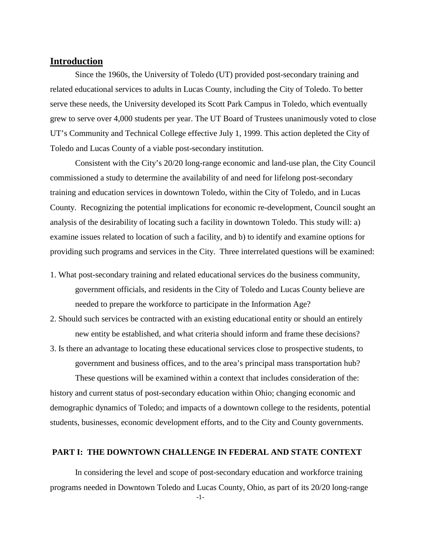# **Introduction**

Since the 1960s, the University of Toledo (UT) provided post-secondary training and related educational services to adults in Lucas County, including the City of Toledo. To better serve these needs, the University developed its Scott Park Campus in Toledo, which eventually grew to serve over 4,000 students per year. The UT Board of Trustees unanimously voted to close UT's Community and Technical College effective July 1, 1999. This action depleted the City of Toledo and Lucas County of a viable post-secondary institution.

Consistent with the City's 20/20 long-range economic and land-use plan, the City Council commissioned a study to determine the availability of and need for lifelong post-secondary training and education services in downtown Toledo, within the City of Toledo, and in Lucas County. Recognizing the potential implications for economic re-development, Council sought an analysis of the desirability of locating such a facility in downtown Toledo. This study will: a) examine issues related to location of such a facility, and b) to identify and examine options for providing such programs and services in the City. Three interrelated questions will be examined:

- 1. What post-secondary training and related educational services do the business community, government officials, and residents in the City of Toledo and Lucas County believe are needed to prepare the workforce to participate in the Information Age?
- 2. Should such services be contracted with an existing educational entity or should an entirely new entity be established, and what criteria should inform and frame these decisions?
- 3. Is there an advantage to locating these educational services close to prospective students, to government and business offices, and to the area's principal mass transportation hub?

These questions will be examined within a context that includes consideration of the: history and current status of post-secondary education within Ohio; changing economic and demographic dynamics of Toledo; and impacts of a downtown college to the residents, potential students, businesses, economic development efforts, and to the City and County governments.

### **PART I: THE DOWNTOWN CHALLENGE IN FEDERAL AND STATE CONTEXT**

In considering the level and scope of post-secondary education and workforce training programs needed in Downtown Toledo and Lucas County, Ohio, as part of its 20/20 long-range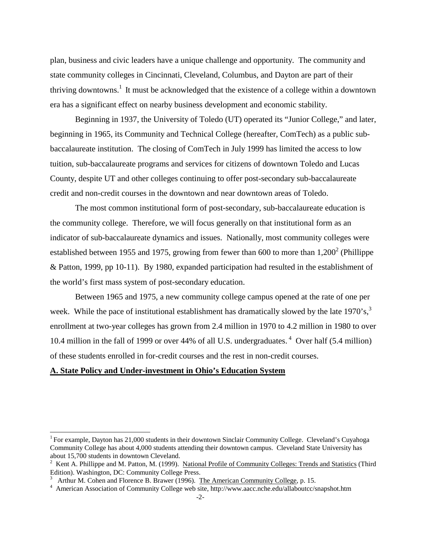plan, business and civic leaders have a unique challenge and opportunity. The community and state community colleges in Cincinnati, Cleveland, Columbus, and Dayton are part of their thriving downtowns.<sup>1</sup> It must be acknowledged that the existence of a college within a downtown era has a significant effect on nearby business development and economic stability.

Beginning in 1937, the University of Toledo (UT) operated its "Junior College," and later, beginning in 1965, its Community and Technical College (hereafter, ComTech) as a public subbaccalaureate institution. The closing of ComTech in July 1999 has limited the access to low tuition, sub-baccalaureate programs and services for citizens of downtown Toledo and Lucas County, despite UT and other colleges continuing to offer post-secondary sub-baccalaureate credit and non-credit courses in the downtown and near downtown areas of Toledo.

The most common institutional form of post-secondary, sub-baccalaureate education is the community college. Therefore, we will focus generally on that institutional form as an indicator of sub-baccalaureate dynamics and issues. Nationally, most community colleges were established between 1955 and 1975, growing from fewer than 600 to more than  $1,200^2$  (Phillippe & Patton, 1999, pp 10-11). By 1980, expanded participation had resulted in the establishment of the world's first mass system of post-secondary education.

Between 1965 and 1975, a new community college campus opened at the rate of one per week. While the pace of institutional establishment has dramatically slowed by the late  $1970's$ ,<sup>3</sup> enrollment at two-year colleges has grown from 2.4 million in 1970 to 4.2 million in 1980 to over 10.4 million in the fall of 1999 or over 44% of all U.S. undergraduates. <sup>4</sup> Over half (5.4 million) of these students enrolled in for-credit courses and the rest in non-credit courses.

#### **A. State Policy and Under-investment in Ohio's Education System**

<sup>&</sup>lt;sup>1</sup> For example, Dayton has 21,000 students in their downtown Sinclair Community College. Cleveland's Cuyahoga Community College has about 4,000 students attending their downtown campus. Cleveland State University has about 15,700 students in downtown Cleveland.

 $2\,$  Kent A. Phillippe and M. Patton, M. (1999). National Profile of Community Colleges: Trends and Statistics (Third Edition). Washington, DC: Community College Press.<br><sup>3</sup> Arthur M. Cohen and Florence B. Brawer (1996). The American Community College, p. 15.

<sup>-2-</sup> <sup>4</sup> American Association of Community College web site, http://www.aacc.nche.edu/allaboutcc/snapshot.htm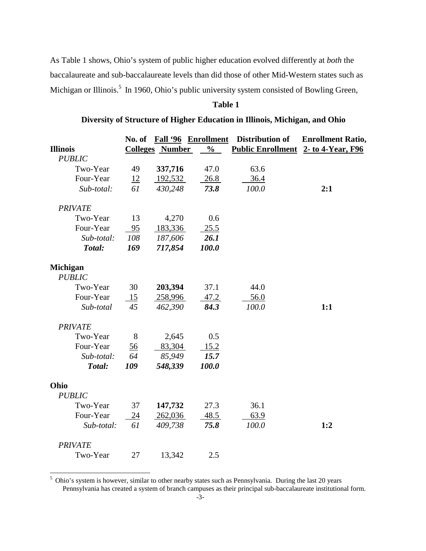As Table 1 shows, Ohio's system of public higher education evolved differently at *both* the baccalaureate and sub-baccalaureate levels than did those of other Mid-Western states such as Michigan or Illinois.<sup>5</sup> In 1960, Ohio's public university system consisted of Bowling Green,

# **Table 1**

### **Diversity of Structure of Higher Education in Illinois, Michigan, and Ohio**

|                           |     |         | No. of Fall '96 Enrollment | Distribution of                     | <b>Enrollment Ratio,</b> |
|---------------------------|-----|---------|----------------------------|-------------------------------------|--------------------------|
| <b>Illinois</b>           |     |         | Colleges Number %          | Public Enrollment 2- to 4-Year, F96 |                          |
| <b>PUBLIC</b>             |     |         |                            |                                     |                          |
| Two-Year                  | 49  | 337,716 | 47.0                       | 63.6                                |                          |
| Four-Year                 | 12  | 192,532 | 26.8                       | 36.4                                |                          |
| Sub-total:                | 61  | 430,248 | 73.8                       | 100.0                               | 2:1                      |
| <b>PRIVATE</b>            |     |         |                            |                                     |                          |
| Two-Year                  | 13  | 4,270   | 0.6                        |                                     |                          |
| Four-Year                 | 95  | 183,336 | 25.5                       |                                     |                          |
| Sub-total:                | 108 | 187,606 | 26.1                       |                                     |                          |
| Total:                    | 169 | 717,854 | 100.0                      |                                     |                          |
| Michigan<br><b>PUBLIC</b> |     |         |                            |                                     |                          |
| Two-Year                  | 30  | 203,394 | 37.1                       | 44.0                                |                          |
| Four-Year                 | 15  | 258,996 | 47.2                       | 56.0                                |                          |
| Sub-total                 | 45  | 462,390 | 84.3                       | 100.0                               | 1:1                      |
| <b>PRIVATE</b>            |     |         |                            |                                     |                          |
| Two-Year                  | 8   | 2,645   | 0.5                        |                                     |                          |
| Four-Year                 | 56  | 83,304  | 15.2                       |                                     |                          |
| Sub-total:                | 64  | 85,949  | 15.7                       |                                     |                          |
| Total:                    | 109 | 548,339 | 100.0                      |                                     |                          |
| Ohio                      |     |         |                            |                                     |                          |
| <b>PUBLIC</b>             |     |         |                            |                                     |                          |
| Two-Year                  | 37  | 147,732 | 27.3                       | 36.1                                |                          |
| Four-Year                 | 24  | 262,036 | 48.5                       | 63.9                                |                          |
| Sub-total:                | 61  | 409,738 | 75.8                       | 100.0                               | 1:2                      |
| <b>PRIVATE</b>            |     |         |                            |                                     |                          |
| Two-Year                  | 27  | 13,342  | 2.5                        |                                     |                          |

<sup>5</sup> Ohio's system is however, similar to other nearby states such as Pennsylvania. During the last 20 years Pennsylvania has created a system of branch campuses as their principal sub-baccalaureate institutional form.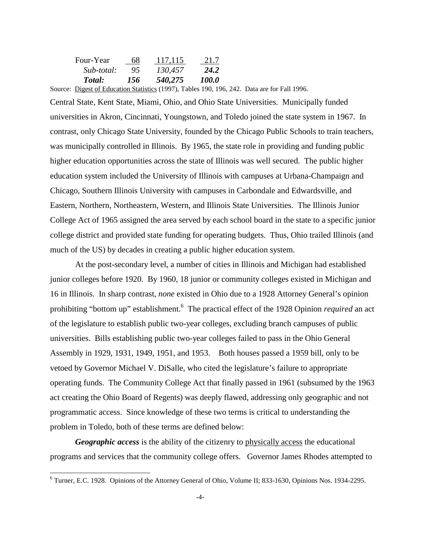| Four-Year  | 68  | 117,115 | 21.7  |
|------------|-----|---------|-------|
| Sub-total: | 95  | 130,457 | 24.2  |
| Total:     | 156 | 540,275 | 100.0 |

Source: Digest of Education Statistics (1997), Tables 190, 196, 242. Data are for Fall 1996.

Central State, Kent State, Miami, Ohio, and Ohio State Universities. Municipally funded universities in Akron, Cincinnati, Youngstown, and Toledo joined the state system in 1967. In contrast, only Chicago State University, founded by the Chicago Public Schools to train teachers, was municipally controlled in Illinois. By 1965, the state role in providing and funding public higher education opportunities across the state of Illinois was well secured. The public higher education system included the University of Illinois with campuses at Urbana-Champaign and Chicago, Southern Illinois University with campuses in Carbondale and Edwardsville, and Eastern, Northern, Northeastern, Western, and Illinois State Universities. The Illinois Junior College Act of 1965 assigned the area served by each school board in the state to a specific junior college district and provided state funding for operating budgets. Thus, Ohio trailed Illinois (and much of the US) by decades in creating a public higher education system.

At the post-secondary level, a number of cities in Illinois and Michigan had established junior colleges before 1920. By 1960, 18 junior or community colleges existed in Michigan and 16 in Illinois. In sharp contrast, *none* existed in Ohio due to a 1928 Attorney General's opinion prohibiting "bottom up" establishment.<sup>6</sup> The practical effect of the 1928 Opinion *required* an act of the legislature to establish public two-year colleges, excluding branch campuses of public universities. Bills establishing public two-year colleges failed to pass in the Ohio General Assembly in 1929, 1931, 1949, 1951, and 1953. Both houses passed a 1959 bill, only to be vetoed by Governor Michael V. DiSalle, who cited the legislature's failure to appropriate operating funds. The Community College Act that finally passed in 1961 (subsumed by the 1963 act creating the Ohio Board of Regents) was deeply flawed, addressing only geographic and not programmatic access. Since knowledge of these two terms is critical to understanding the problem in Toledo, both of these terms are defined below:

*Geographic access* is the ability of the citizenry to physically access the educational programs and services that the community college offers. Governor James Rhodes attempted to

<sup>6</sup> Turner, E.C. 1928. Opinions of the Attorney General of Ohio, Volume II; 833-1630, Opinions Nos. 1934-2295.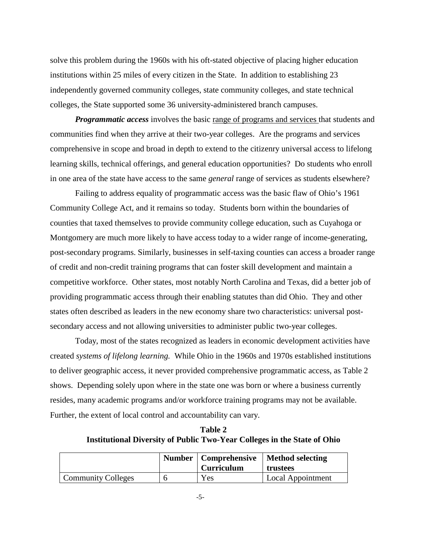solve this problem during the 1960s with his oft-stated objective of placing higher education institutions within 25 miles of every citizen in the State. In addition to establishing 23 independently governed community colleges, state community colleges, and state technical colleges, the State supported some 36 university-administered branch campuses.

*Programmatic access* involves the basic range of programs and services that students and communities find when they arrive at their two-year colleges. Are the programs and services comprehensive in scope and broad in depth to extend to the citizenry universal access to lifelong learning skills, technical offerings, and general education opportunities? Do students who enroll in one area of the state have access to the same *general* range of services as students elsewhere?

Failing to address equality of programmatic access was the basic flaw of Ohio's 1961 Community College Act, and it remains so today. Students born within the boundaries of counties that taxed themselves to provide community college education, such as Cuyahoga or Montgomery are much more likely to have access today to a wider range of income-generating, post-secondary programs. Similarly, businesses in self-taxing counties can access a broader range of credit and non-credit training programs that can foster skill development and maintain a competitive workforce. Other states, most notably North Carolina and Texas, did a better job of providing programmatic access through their enabling statutes than did Ohio. They and other states often described as leaders in the new economy share two characteristics: universal postsecondary access and not allowing universities to administer public two-year colleges.

Today, most of the states recognized as leaders in economic development activities have created *systems of lifelong learning.* While Ohio in the 1960s and 1970s established institutions to deliver geographic access, it never provided comprehensive programmatic access, as Table 2 shows. Depending solely upon where in the state one was born or where a business currently resides, many academic programs and/or workforce training programs may not be available. Further, the extent of local control and accountability can vary.

**Table 2 Institutional Diversity of Public Two-Year Colleges in the State of Ohio**

|                           | <b>Curriculum</b> | Number   Comprehensive   Method selecting<br>trustees |
|---------------------------|-------------------|-------------------------------------------------------|
| <b>Community Colleges</b> | Yes               | Local Appointment                                     |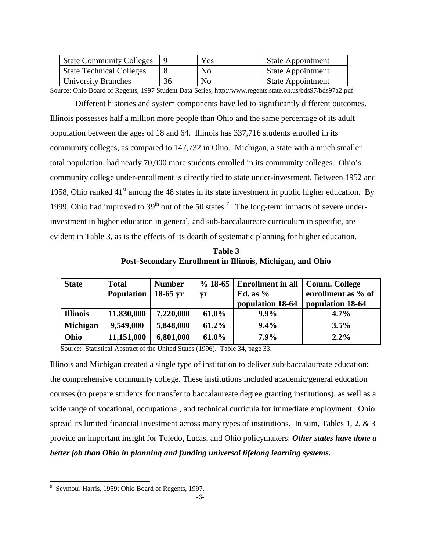| <b>State Community Colleges</b> |    | Yes | <b>State Appointment</b> |
|---------------------------------|----|-----|--------------------------|
| <b>State Technical Colleges</b> |    | No  | <b>State Appointment</b> |
| University Branches             | 36 | No  | <b>State Appointment</b> |

Source: Ohio Board of Regents, 1997 Student Data Series, http://www.regents.state.oh.us/bds97/bds97a2.pdf

Different histories and system components have led to significantly different outcomes. Illinois possesses half a million more people than Ohio and the same percentage of its adult population between the ages of 18 and 64. Illinois has 337,716 students enrolled in its community colleges, as compared to 147,732 in Ohio. Michigan, a state with a much smaller total population, had nearly 70,000 more students enrolled in its community colleges. Ohio's community college under-enrollment is directly tied to state under-investment. Between 1952 and 1958, Ohio ranked  $41<sup>st</sup>$  among the 48 states in its state investment in public higher education. By 1999, Ohio had improved to  $39<sup>th</sup>$  out of the 50 states.<sup>7</sup> The long-term impacts of severe underinvestment in higher education in general, and sub-baccalaureate curriculum in specific, are evident in Table 3, as is the effects of its dearth of systematic planning for higher education.

**Table 3 Post-Secondary Enrollment in Illinois, Michigan, and Ohio**

| <b>State</b>    | <b>Total</b><br><b>Population</b> | <b>Number</b><br>$18-65$ yr | yr       | $\%$ 18-65   Enrollment in all<br>Ed. as $%$<br>population 18-64 | <b>Comm. College</b><br>enrollment as % of<br>population 18-64 |
|-----------------|-----------------------------------|-----------------------------|----------|------------------------------------------------------------------|----------------------------------------------------------------|
| <b>Illinois</b> | 11,830,000                        | 7,220,000                   | 61.0%    | $9.9\%$                                                          | $4.7\%$                                                        |
| <b>Michigan</b> | 9,549,000                         | 5,848,000                   | $61.2\%$ | 9.4%                                                             | 3.5%                                                           |
| Ohio            | 11,151,000                        | 6,801,000                   | 61.0%    | 7.9%                                                             | $2.2\%$                                                        |

Source: Statistical Abstract of the United States (1996). Table 34, page 33.

Illinois and Michigan created a single type of institution to deliver sub-baccalaureate education: the comprehensive community college. These institutions included academic/general education courses (to prepare students for transfer to baccalaureate degree granting institutions), as well as a wide range of vocational, occupational, and technical curricula for immediate employment. Ohio spread its limited financial investment across many types of institutions. In sum, Tables 1, 2, & 3 provide an important insight for Toledo, Lucas, and Ohio policymakers: *Other states have done a better job than Ohio in planning and funding universal lifelong learning systems.*

<sup>9</sup> Seymour Harris, 1959; Ohio Board of Regents, 1997.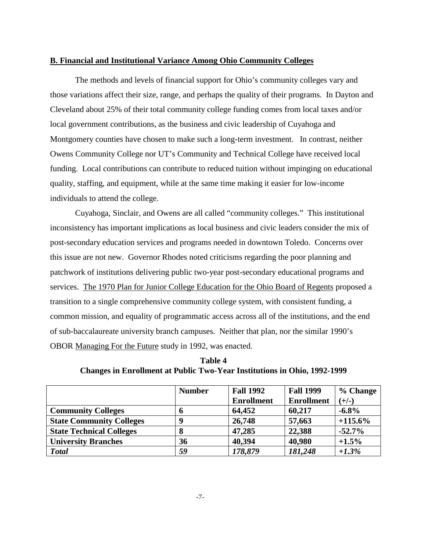#### **B. Financial and Institutional Variance Among Ohio Community Colleges**

The methods and levels of financial support for Ohio's community colleges vary and those variations affect their size, range, and perhaps the quality of their programs. In Dayton and Cleveland about 25% of their total community college funding comes from local taxes and/or local government contributions, as the business and civic leadership of Cuyahoga and Montgomery counties have chosen to make such a long-term investment. In contrast, neither Owens Community College nor UT's Community and Technical College have received local funding. Local contributions can contribute to reduced tuition without impinging on educational quality, staffing, and equipment, while at the same time making it easier for low-income individuals to attend the college.

Cuyahoga, Sinclair, and Owens are all called "community colleges." This institutional inconsistency has important implications as local business and civic leaders consider the mix of post-secondary education services and programs needed in downtown Toledo. Concerns over this issue are not new. Governor Rhodes noted criticisms regarding the poor planning and patchwork of institutions delivering public two-year post-secondary educational programs and services. The 1970 Plan for Junior College Education for the Ohio Board of Regents proposed a transition to a single comprehensive community college system, with consistent funding, a common mission, and equality of programmatic access across all of the institutions, and the end of sub-baccalaureate university branch campuses. Neither that plan, nor the similar 1990's OBOR Managing For the Future study in 1992, was enacted.

| Table 4                                                                         |  |
|---------------------------------------------------------------------------------|--|
| <b>Changes in Enrollment at Public Two-Year Institutions in Ohio, 1992-1999</b> |  |

|                                 | <b>Number</b> | <b>Fall 1992</b>  | <b>Fall 1999</b>  | % Change   |
|---------------------------------|---------------|-------------------|-------------------|------------|
|                                 |               | <b>Enrollment</b> | <b>Enrollment</b> | $(+/-)$    |
| <b>Community Colleges</b>       | o             | 64,452            | 60,217            | $-6.8\%$   |
| <b>State Community Colleges</b> | 9             | 26,748            | 57,663            | $+115.6\%$ |
| <b>State Technical Colleges</b> | 8             | 47,285            | 22,388            | $-52.7%$   |
| <b>University Branches</b>      | 36            | 40,394            | 40,980            | $+1.5%$    |
| <b>Total</b>                    | 59            | 178,879           | 181,248           | $+1.3%$    |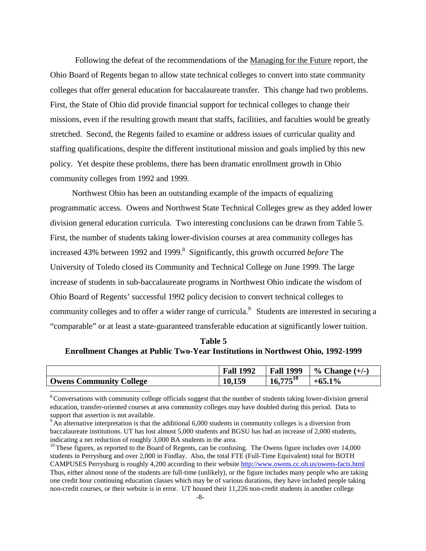Following the defeat of the recommendations of the Managing for the Future report, the Ohio Board of Regents began to allow state technical colleges to convert into state community colleges that offer general education for baccalaureate transfer. This change had two problems. First, the State of Ohio did provide financial support for technical colleges to change their missions, even if the resulting growth meant that staffs, facilities, and faculties would be greatly stretched. Second, the Regents failed to examine or address issues of curricular quality and staffing qualifications, despite the different institutional mission and goals implied by this new policy. Yet despite these problems, there has been dramatic enrollment growth in Ohio community colleges from 1992 and 1999.

Northwest Ohio has been an outstanding example of the impacts of equalizing programmatic access. Owens and Northwest State Technical Colleges grew as they added lower division general education curricula. Two interesting conclusions can be drawn from Table 5. First, the number of students taking lower-division courses at area community colleges has increased 43% between 1992 and 1999.<sup>8</sup> Significantly, this growth occurred *before* The University of Toledo closed its Community and Technical College on June 1999. The large increase of students in sub-baccalaureate programs in Northwest Ohio indicate the wisdom of Ohio Board of Regents' successful 1992 policy decision to convert technical colleges to community colleges and to offer a wider range of curricula.<sup>9</sup> Students are interested in securing a "comparable" or at least a state-guaranteed transferable education at significantly lower tuition.

| Table 5                                                                                |  |
|----------------------------------------------------------------------------------------|--|
| <b>Enrollment Changes at Public Two-Year Institutions in Northwest Ohio, 1992-1999</b> |  |

|                                | <b>Fall 1992</b> | 1999<br>Fall  | Change $(+/-)$<br>$\%$ |
|--------------------------------|------------------|---------------|------------------------|
| <b>Owens Community College</b> | 150<br>10,159    | $16,775^{10}$ | $1\%$<br>$+0.5$        |

<sup>&</sup>lt;sup>8</sup> Conversations with community college officials suggest that the number of students taking lower-division general education, transfer-oriented courses at area community colleges may have doubled during this period. Data to support that assertion is not available.

<sup>&</sup>lt;sup>9</sup> An alternative interpretation is that the additional 6,000 students in community colleges is a diversion from baccalaureate institutions. UT has lost almost 5,000 students and BGSU has had an increase of 2,000 students, indicating a net reduction of roughly 3,000 BA students in the area.

<sup>&</sup>lt;sup>10</sup> These figures, as reported to the Board of Regents, can be confusing. The Owens figure includes over 14,000 students in Perrysburg and over 2,000 in Findlay. Also, the total FTE (Full-Time Equivalent) total for BOTH CAMPUSES Perrysburg is roughly 4,200 according to their website http://www.owens.cc.oh.us/owens-facts.html Thus, either almost none of the students are full-time (unlikely), or the figure includes many people who are taking one credit hour continuing education classes which may be of various durations, they have included people taking non-credit courses, or their website is in error. UT housed their 11,226 non-credit students in another college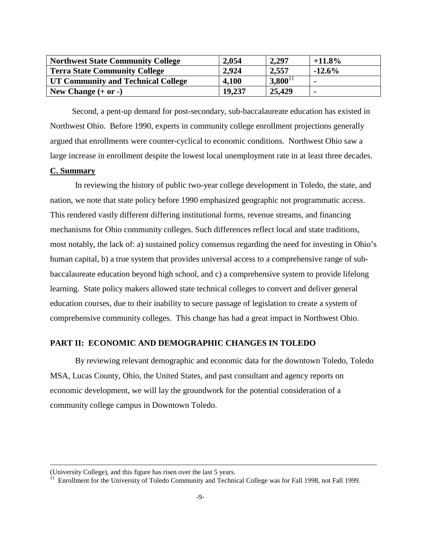| <b>Northwest State Community College</b> | 2,054  | 2,297        | $+11.8\%$      |
|------------------------------------------|--------|--------------|----------------|
| <b>Terra State Community College</b>     | 2.924  | 2.557        | $-12.6\%$      |
| UT Community and Technical College       | 4,100  | $3,800^{11}$ |                |
| New Change $(+ or -)$                    | 19,237 | 25,429       | $\blacksquare$ |

Second, a pent-up demand for post-secondary, sub-baccalaureate education has existed in Northwest Ohio. Before 1990, experts in community college enrollment projections generally argued that enrollments were counter-cyclical to economic conditions. Northwest Ohio saw a large increase in enrollment despite the lowest local unemployment rate in at least three decades.

### **C. Summary**

In reviewing the history of public two-year college development in Toledo, the state, and nation, we note that state policy before 1990 emphasized geographic not programmatic access. This rendered vastly different differing institutional forms, revenue streams, and financing mechanisms for Ohio community colleges. Such differences reflect local and state traditions, most notably, the lack of: a) sustained policy consensus regarding the need for investing in Ohio's human capital, b) a true system that provides universal access to a comprehensive range of subbaccalaureate education beyond high school, and c) a comprehensive system to provide lifelong learning. State policy makers allowed state technical colleges to convert and deliver general education courses, due to their inability to secure passage of legislation to create a system of comprehensive community colleges. This change has had a great impact in Northwest Ohio.

### **PART II: ECONOMIC AND DEMOGRAPHIC CHANGES IN TOLEDO**

By reviewing relevant demographic and economic data for the downtown Toledo, Toledo MSA, Lucas County, Ohio, the United States, and past consultant and agency reports on economic development, we will lay the groundwork for the potential consideration of a community college campus in Downtown Toledo.

<sup>(</sup>University College), and this figure has risen over the last 5 years.

<sup>&</sup>lt;sup>11</sup> Enrollment for the University of Toledo Community and Technical College was for Fall 1998, not Fall 1999.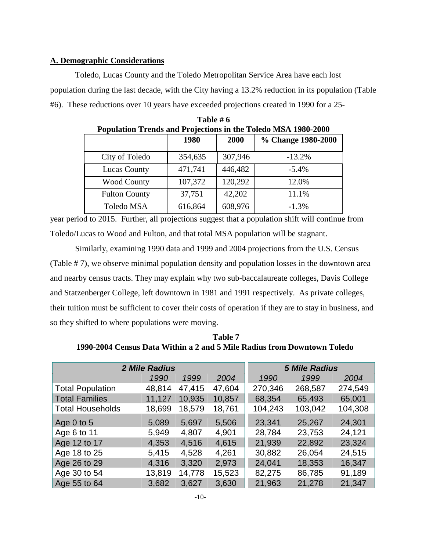### **A. Demographic Considerations**

Toledo, Lucas County and the Toledo Metropolitan Service Area have each lost population during the last decade, with the City having a 13.2% reduction in its population (Table #6). These reductions over 10 years have exceeded projections created in 1990 for a 25-

| I opulation Trends and Frojections in the Toledo MSA 1760-2000 |         |         |                    |  |  |  |  |
|----------------------------------------------------------------|---------|---------|--------------------|--|--|--|--|
|                                                                | 1980    | 2000    | % Change 1980-2000 |  |  |  |  |
| City of Toledo                                                 | 354,635 | 307,946 | $-13.2%$           |  |  |  |  |
| <b>Lucas County</b>                                            | 471,741 | 446,482 | $-5.4%$            |  |  |  |  |
| <b>Wood County</b>                                             | 107,372 | 120,292 | 12.0%              |  |  |  |  |
| <b>Fulton County</b>                                           | 37,751  | 42,202  | 11.1%              |  |  |  |  |
| Toledo MSA                                                     | 616,864 | 608,976 | $-1.3%$            |  |  |  |  |

**Table # 6 Population Trends and Projections in the Toledo MSA 1980-2000**

year period to 2015. Further, all projections suggest that a population shift will continue from Toledo/Lucas to Wood and Fulton, and that total MSA population will be stagnant.

Similarly, examining 1990 data and 1999 and 2004 projections from the U.S. Census (Table # 7), we observe minimal population density and population losses in the downtown area and nearby census tracts. They may explain why two sub-baccalaureate colleges, Davis College and Statzenberger College, left downtown in 1981 and 1991 respectively. As private colleges, their tuition must be sufficient to cover their costs of operation if they are to stay in business, and so they shifted to where populations were moving.

**Table 7 1990-2004 Census Data Within a 2 and 5 Mile Radius from Downtown Toledo**

| <b>2 Mile Radius</b>    | <b>5 Mile Radius</b> |        |        |         |         |         |
|-------------------------|----------------------|--------|--------|---------|---------|---------|
|                         | 1990                 | 1999   | 2004   | 1990    | 1999    | 2004    |
| <b>Total Population</b> | 48,814               | 47,415 | 47,604 | 270,346 | 268,587 | 274,549 |
| <b>Total Families</b>   | 11,127               | 10,935 | 10,857 | 68,354  | 65,493  | 65,001  |
| <b>Total Households</b> | 18,699               | 18,579 | 18,761 | 104,243 | 103,042 | 104,308 |
| Age $0$ to $5$          | 5,089                | 5,697  | 5,506  | 23,341  | 25,267  | 24,301  |
| Age 6 to 11             | 5,949                | 4,807  | 4,901  | 28,784  | 23,753  | 24,121  |
| Age 12 to 17            | 4,353                | 4,516  | 4,615  | 21,939  | 22,892  | 23,324  |
| Age 18 to 25            | 5,415                | 4,528  | 4,261  | 30,882  | 26,054  | 24,515  |
| Age 26 to 29            | 4,316                | 3,320  | 2,973  | 24,041  | 18,353  | 16,347  |
| Age 30 to 54            | 13,819               | 14,778 | 15,523 | 82,275  | 86,785  | 91,189  |
| Age 55 to 64            | 3,682                | 3,627  | 3,630  | 21,963  | 21,278  | 21,347  |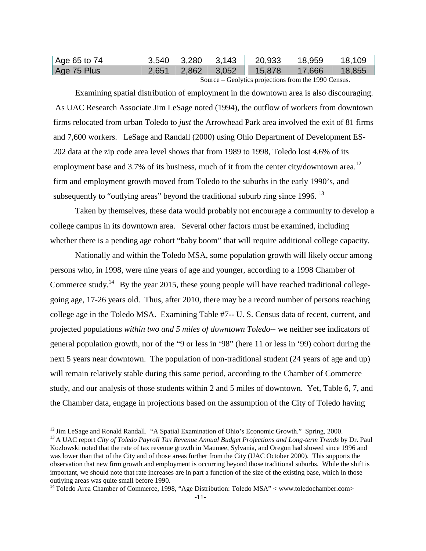| $\vert$ Age 65 to 74 |                            |  |  | $3,540$ $3,280$ $3,143$   20,933 18,959 18,109 |  |  |  |
|----------------------|----------------------------|--|--|------------------------------------------------|--|--|--|
| Age 75 Plus          |                            |  |  |                                                |  |  |  |
|                      | $\alpha$ $\alpha$ $\alpha$ |  |  |                                                |  |  |  |

Source – Geolytics projections from the 1990 Census.

Examining spatial distribution of employment in the downtown area is also discouraging. As UAC Research Associate Jim LeSage noted (1994), the outflow of workers from downtown firms relocated from urban Toledo to *just* the Arrowhead Park area involved the exit of 81 firms and 7,600 workers. LeSage and Randall (2000) using Ohio Department of Development ES-202 data at the zip code area level shows that from 1989 to 1998, Toledo lost 4.6% of its employment base and 3.7% of its business, much of it from the center city/downtown area.<sup>12</sup> firm and employment growth moved from Toledo to the suburbs in the early 1990's, and subsequently to "outlying areas" beyond the traditional suburb ring since  $1996$ . <sup>13</sup>

Taken by themselves, these data would probably not encourage a community to develop a college campus in its downtown area. Several other factors must be examined, including whether there is a pending age cohort "baby boom" that will require additional college capacity.

Nationally and within the Toledo MSA, some population growth will likely occur among persons who, in 1998, were nine years of age and younger, according to a 1998 Chamber of Commerce study.<sup>14</sup> By the year 2015, these young people will have reached traditional collegegoing age, 17-26 years old. Thus, after 2010, there may be a record number of persons reaching college age in the Toledo MSA. Examining Table #7-- U. S. Census data of recent, current, and projected populations *within two and 5 miles of downtown Toledo--* we neither see indicators of general population growth, nor of the "9 or less in '98" (here 11 or less in '99) cohort during the next 5 years near downtown. The population of non-traditional student (24 years of age and up) will remain relatively stable during this same period, according to the Chamber of Commerce study, and our analysis of those students within 2 and 5 miles of downtown. Yet, Table 6, 7, and the Chamber data, engage in projections based on the assumption of the City of Toledo having

<sup>&</sup>lt;sup>12</sup> Jim LeSage and Ronald Randall. "A Spatial Examination of Ohio's Economic Growth." Spring, 2000.<br><sup>13</sup> A UAC report *City of Toledo Payroll Tax Revenue Annual Budget Projections and Long-term Trends by Dr. Paul* 

Kozlowski noted that the rate of tax revenue growth in Maumee, Sylvania, and Oregon had slowed since 1996 and was lower than that of the City and of those areas further from the City (UAC October 2000). This supports the observation that new firm growth and employment is occurring beyond those traditional suburbs. While the shift is important, we should note that rate increases are in part a function of the size of the existing base, which in those outlying areas was quite small before 1990.

<sup>&</sup>lt;sup>14</sup> Toledo Area Chamber of Commerce, 1998, "Age Distribution: Toledo MSA" < www.toledochamber.com>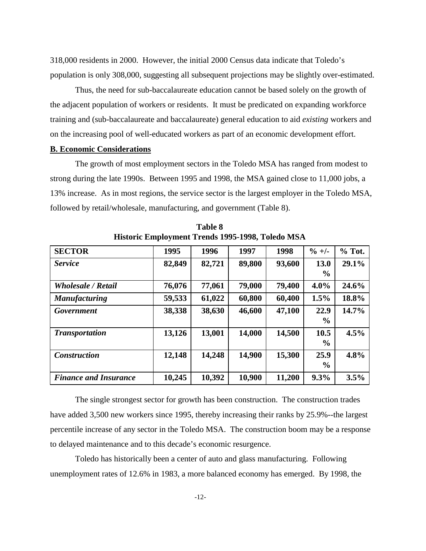318,000 residents in 2000. However, the initial 2000 Census data indicate that Toledo's population is only 308,000, suggesting all subsequent projections may be slightly over-estimated.

Thus, the need for sub-baccalaureate education cannot be based solely on the growth of the adjacent population of workers or residents. It must be predicated on expanding workforce training and (sub-baccalaureate and baccalaureate) general education to aid *existing* workers and on the increasing pool of well-educated workers as part of an economic development effort.

#### **B. Economic Considerations**

The growth of most employment sectors in the Toledo MSA has ranged from modest to strong during the late 1990s. Between 1995 and 1998, the MSA gained close to 11,000 jobs, a 13% increase. As in most regions, the service sector is the largest employer in the Toledo MSA, followed by retail/wholesale, manufacturing, and government (Table 8).

| <b>SECTOR</b>                | 1995   | 1996   | 1997   | 1998   | $\frac{9}{6}$ +/- | $%$ Tot. |
|------------------------------|--------|--------|--------|--------|-------------------|----------|
| <b>Service</b>               | 82,849 | 82,721 | 89,800 | 93,600 | 13.0<br>$\%$      | 29.1%    |
| <b>Wholesale / Retail</b>    | 76,076 | 77,061 | 79,000 | 79,400 | $4.0\%$           | 24.6%    |
| <b>Manufacturing</b>         | 59,533 | 61,022 | 60,800 | 60,400 | 1.5%              | 18.8%    |
| Government                   | 38,338 | 38,630 | 46,600 | 47,100 | 22.9<br>$\%$      | 14.7%    |
| <b>Transportation</b>        | 13,126 | 13,001 | 14,000 | 14,500 | 10.5<br>$\%$      | 4.5%     |
| <b>Construction</b>          | 12,148 | 14,248 | 14,900 | 15,300 | 25.9<br>$\%$      | 4.8%     |
| <b>Finance and Insurance</b> | 10,245 | 10,392 | 10,900 | 11,200 | 9.3%              | 3.5%     |

**Table 8 Historic Employment Trends 1995-1998, Toledo MSA**

The single strongest sector for growth has been construction. The construction trades have added 3,500 new workers since 1995, thereby increasing their ranks by 25.9%--the largest percentile increase of any sector in the Toledo MSA. The construction boom may be a response to delayed maintenance and to this decade's economic resurgence.

Toledo has historically been a center of auto and glass manufacturing. Following unemployment rates of 12.6% in 1983, a more balanced economy has emerged. By 1998, the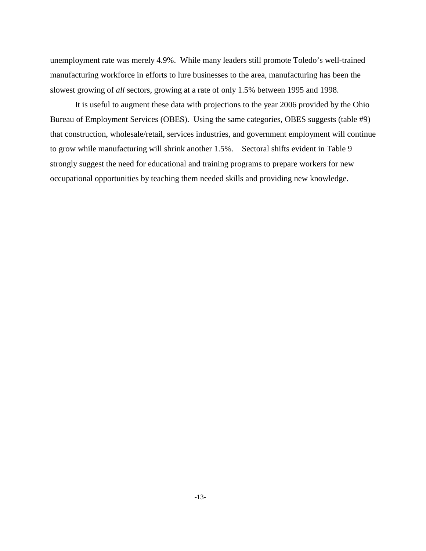unemployment rate was merely 4.9%. While many leaders still promote Toledo's well-trained manufacturing workforce in efforts to lure businesses to the area, manufacturing has been the slowest growing of *all* sectors, growing at a rate of only 1.5% between 1995 and 1998.

It is useful to augment these data with projections to the year 2006 provided by the Ohio Bureau of Employment Services (OBES). Using the same categories, OBES suggests (table #9) that construction, wholesale/retail, services industries, and government employment will continue to grow while manufacturing will shrink another 1.5%. Sectoral shifts evident in Table 9 strongly suggest the need for educational and training programs to prepare workers for new occupational opportunities by teaching them needed skills and providing new knowledge.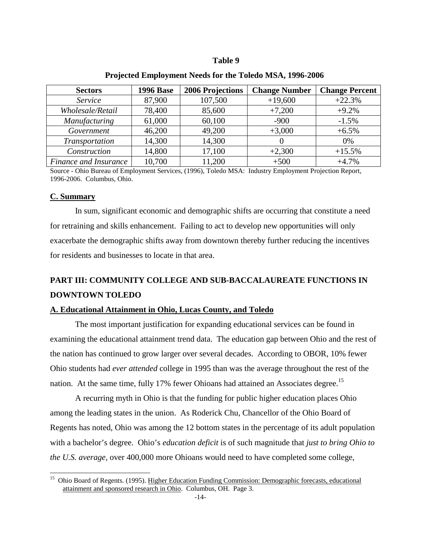#### **Table 9**

| <b>Sectors</b>        | <b>1996 Base</b> | 2006 Projections | <b>Change Number</b> | <b>Change Percent</b> |
|-----------------------|------------------|------------------|----------------------|-----------------------|
| Service               | 87,900           | 107,500          | $+19,600$            | $+22.3%$              |
| Wholesale/Retail      | 78,400           | 85,600           | $+7,200$             | $+9.2%$               |
| <b>Manufacturing</b>  | 61,000           | 60,100           | $-900$               | $-1.5%$               |
| Government            | 46,200           | 49,200           | $+3,000$             | $+6.5%$               |
| Transportation        | 14,300           | 14,300           |                      | 0%                    |
| Construction          | 14,800           | 17,100           | $+2,300$             | $+15.5%$              |
| Finance and Insurance | 10,700           | 11,200           | $+500$               | $+4.7%$               |

#### **Projected Employment Needs for the Toledo MSA, 1996-2006**

Source - Ohio Bureau of Employment Services, (1996), Toledo MSA: Industry Employment Projection Report, 1996-2006. Columbus, Ohio.

#### **C. Summary**

In sum, significant economic and demographic shifts are occurring that constitute a need for retraining and skills enhancement. Failing to act to develop new opportunities will only exacerbate the demographic shifts away from downtown thereby further reducing the incentives for residents and businesses to locate in that area.

# **PART III: COMMUNITY COLLEGE AND SUB-BACCALAUREATE FUNCTIONS IN DOWNTOWN TOLEDO**

### **A. Educational Attainment in Ohio, Lucas County, and Toledo**

The most important justification for expanding educational services can be found in examining the educational attainment trend data. The education gap between Ohio and the rest of the nation has continued to grow larger over several decades. According to OBOR, 10% fewer Ohio students had *ever attended* college in 1995 than was the average throughout the rest of the nation. At the same time, fully 17% fewer Ohioans had attained an Associates degree.<sup>15</sup>

A recurring myth in Ohio is that the funding for public higher education places Ohio among the leading states in the union. As Roderick Chu, Chancellor of the Ohio Board of Regents has noted, Ohio was among the 12 bottom states in the percentage of its adult population with a bachelor's degree. Ohio's *education deficit* is of such magnitude that *just to bring Ohio to the U.S. average,* over 400,000 more Ohioans would need to have completed some college,

<sup>&</sup>lt;sup>15</sup> Ohio Board of Regents. (1995). Higher Education Funding Commission: Demographic forecasts, educational attainment and sponsored research in Ohio. Columbus, OH. Page 3.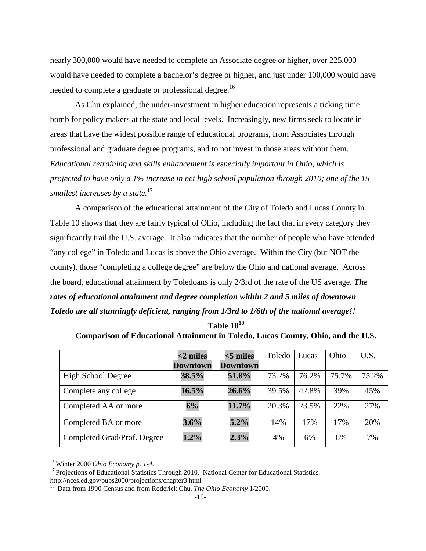nearly 300,000 would have needed to complete an Associate degree or higher, over 225,000 would have needed to complete a bachelor's degree or higher, and just under 100,000 would have needed to complete a graduate or professional degree.<sup>16</sup>

As Chu explained, the under-investment in higher education represents a ticking time bomb for policy makers at the state and local levels. Increasingly, new firms seek to locate in areas that have the widest possible range of educational programs, from Associates through professional and graduate degree programs, and to not invest in those areas without them. *Educational retraining and skills enhancement is especially important in Ohio, which is projected to have only a 1% increase in net high school population through 2010; one of the 15 smallest increases by a state.*<sup>17</sup>

A comparison of the educational attainment of the City of Toledo and Lucas County in Table 10 shows that they are fairly typical of Ohio, including the fact that in every category they significantly trail the U.S. average. It also indicates that the number of people who have attended "any college" in Toledo and Lucas is above the Ohio average. Within the City (but NOT the county), those "completing a college degree" are below the Ohio and national average. Across the board, educational attainment by Toledoans is only 2/3rd of the rate of the US average. *The rates of educational attainment and degree completion within 2 and 5 miles of downtown Toledo are all stunningly deficient, ranging from 1/3rd to 1/6th of the national average!!*

| Table 10 <sup>18</sup> |  |
|------------------------|--|
|                        |  |

|                             | $<$ 2 miles | $<$ 5 miles     | Toledo | Lucas | Ohio  | U.S.  |
|-----------------------------|-------------|-----------------|--------|-------|-------|-------|
|                             | Downtown    | <b>Downtown</b> |        |       |       |       |
| <b>High School Degree</b>   | 38.5%       | 51.8%           | 73.2%  | 76.2% | 75.7% | 75.2% |
| Complete any college        | 16.5%       | 26.6%           | 39.5%  | 42.8% | 39%   | 45%   |
| Completed AA or more        | 6%          | 11.7%           | 20.3%  | 23.5% | 22%   | 27%   |
| Completed BA or more        | 3.6%        | $5.2\%$         | 14%    | 17%   | 17%   | 20%   |
| Completed Grad/Prof. Degree | 1.2%        | 2.3%            | 4%     | 6%    | 6%    | 7%    |

<sup>&</sup>lt;sup>16</sup> Winter 2000 *Ohio Economy p. 1-4.*<br><sup>17</sup> Projections of Educational Statistics Through 2010. National Center for Educational Statistics.

http://nces.ed.gov/pubs2000/projections/chapter3.html

<sup>&</sup>lt;sup>18</sup> Data from 1990 Census and from Roderick Chu, *The Ohio Economy* 1/2000.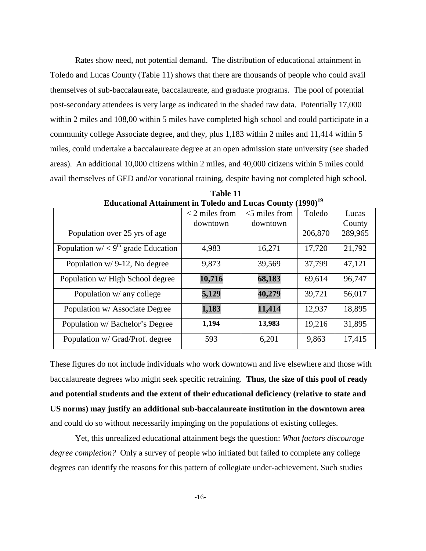Rates show need, not potential demand. The distribution of educational attainment in Toledo and Lucas County (Table 11) shows that there are thousands of people who could avail themselves of sub-baccalaureate, baccalaureate, and graduate programs. The pool of potential post-secondary attendees is very large as indicated in the shaded raw data. Potentially 17,000 within 2 miles and 108,00 within 5 miles have completed high school and could participate in a community college Associate degree, and they, plus 1,183 within 2 miles and 11,414 within 5 miles, could undertake a baccalaureate degree at an open admission state university (see shaded areas). An additional 10,000 citizens within 2 miles, and 40,000 citizens within 5 miles could avail themselves of GED and/or vocational training, despite having not completed high school.

| Educational Attainment in Toledo and Eucas County (1990) |                  |                  |         |         |
|----------------------------------------------------------|------------------|------------------|---------|---------|
|                                                          | $<$ 2 miles from | $<$ 5 miles from | Toledo  | Lucas   |
|                                                          | downtown         | downtown         |         | County  |
| Population over 25 yrs of age                            |                  |                  | 206,870 | 289,965 |
| Population $w' < 9th$ grade Education                    | 4,983            | 16,271           | 17,720  | 21,792  |
| Population $w/9-12$ , No degree                          | 9,873            | 39,569           | 37,799  | 47,121  |
| Population w/ High School degree                         | 10,716           | 68,183           | 69,614  | 96,747  |
| Population w/ any college                                | 5,129            | 40,279           | 39,721  | 56,017  |
| Population w/ Associate Degree                           | 1,183            | 11,414           | 12,937  | 18,895  |
| Population w/ Bachelor's Degree                          | 1,194            | 13,983           | 19,216  | 31,895  |
| Population w/ Grad/Prof. degree                          | 593              | 6,201            | 9,863   | 17,415  |

**Table 11 Educational Attainment in Toledo and Lucas County (1990)19**

These figures do not include individuals who work downtown and live elsewhere and those with baccalaureate degrees who might seek specific retraining. **Thus, the size of this pool of ready and potential students and the extent of their educational deficiency (relative to state and US norms) may justify an additional sub-baccalaureate institution in the downtown area** and could do so without necessarily impinging on the populations of existing colleges.

Yet, this unrealized educational attainment begs the question: *What factors discourage degree completion?* Only a survey of people who initiated but failed to complete any college degrees can identify the reasons for this pattern of collegiate under-achievement. Such studies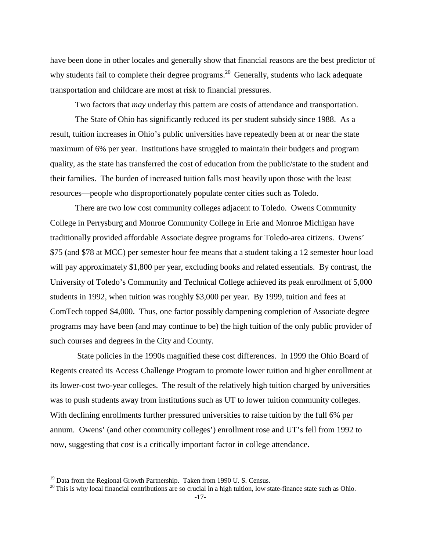have been done in other locales and generally show that financial reasons are the best predictor of why students fail to complete their degree programs.<sup>20</sup> Generally, students who lack adequate transportation and childcare are most at risk to financial pressures.

Two factors that *may* underlay this pattern are costs of attendance and transportation.

The State of Ohio has significantly reduced its per student subsidy since 1988. As a result, tuition increases in Ohio's public universities have repeatedly been at or near the state maximum of 6% per year. Institutions have struggled to maintain their budgets and program quality, as the state has transferred the cost of education from the public/state to the student and their families. The burden of increased tuition falls most heavily upon those with the least resources—people who disproportionately populate center cities such as Toledo.

There are two low cost community colleges adjacent to Toledo. Owens Community College in Perrysburg and Monroe Community College in Erie and Monroe Michigan have traditionally provided affordable Associate degree programs for Toledo-area citizens. Owens' \$75 (and \$78 at MCC) per semester hour fee means that a student taking a 12 semester hour load will pay approximately \$1,800 per year, excluding books and related essentials. By contrast, the University of Toledo's Community and Technical College achieved its peak enrollment of 5,000 students in 1992, when tuition was roughly \$3,000 per year. By 1999, tuition and fees at ComTech topped \$4,000. Thus, one factor possibly dampening completion of Associate degree programs may have been (and may continue to be) the high tuition of the only public provider of such courses and degrees in the City and County.

State policies in the 1990s magnified these cost differences. In 1999 the Ohio Board of Regents created its Access Challenge Program to promote lower tuition and higher enrollment at its lower-cost two-year colleges. The result of the relatively high tuition charged by universities was to push students away from institutions such as UT to lower tuition community colleges. With declining enrollments further pressured universities to raise tuition by the full 6% per annum. Owens' (and other community colleges') enrollment rose and UT's fell from 1992 to now, suggesting that cost is a critically important factor in college attendance.

<sup>&</sup>lt;sup>19</sup> Data from the Regional Growth Partnership. Taken from 1990 U. S. Census.  $^{20}$  This is why local financial contributions are so crucial in a high tuition, low state-finance state such as Ohio.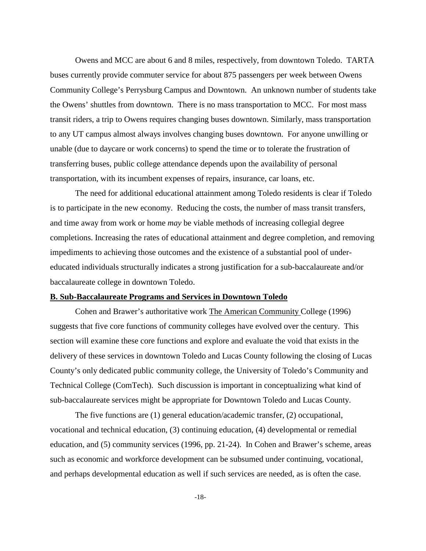Owens and MCC are about 6 and 8 miles, respectively, from downtown Toledo. TARTA buses currently provide commuter service for about 875 passengers per week between Owens Community College's Perrysburg Campus and Downtown. An unknown number of students take the Owens' shuttles from downtown. There is no mass transportation to MCC. For most mass transit riders, a trip to Owens requires changing buses downtown. Similarly, mass transportation to any UT campus almost always involves changing buses downtown. For anyone unwilling or unable (due to daycare or work concerns) to spend the time or to tolerate the frustration of transferring buses, public college attendance depends upon the availability of personal transportation, with its incumbent expenses of repairs, insurance, car loans, etc.

The need for additional educational attainment among Toledo residents is clear if Toledo is to participate in the new economy. Reducing the costs, the number of mass transit transfers, and time away from work or home *may* be viable methods of increasing collegial degree completions. Increasing the rates of educational attainment and degree completion, and removing impediments to achieving those outcomes and the existence of a substantial pool of undereducated individuals structurally indicates a strong justification for a sub-baccalaureate and/or baccalaureate college in downtown Toledo.

#### **B. Sub-Baccalaureate Programs and Services in Downtown Toledo**

Cohen and Brawer's authoritative work The American Community College (1996) suggests that five core functions of community colleges have evolved over the century. This section will examine these core functions and explore and evaluate the void that exists in the delivery of these services in downtown Toledo and Lucas County following the closing of Lucas County's only dedicated public community college, the University of Toledo's Community and Technical College (ComTech). Such discussion is important in conceptualizing what kind of sub-baccalaureate services might be appropriate for Downtown Toledo and Lucas County.

The five functions are (1) general education/academic transfer, (2) occupational, vocational and technical education, (3) continuing education, (4) developmental or remedial education, and (5) community services (1996, pp. 21-24). In Cohen and Brawer's scheme, areas such as economic and workforce development can be subsumed under continuing, vocational, and perhaps developmental education as well if such services are needed, as is often the case.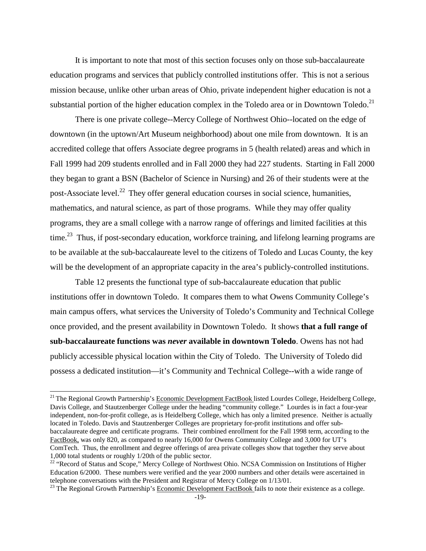It is important to note that most of this section focuses only on those sub-baccalaureate education programs and services that publicly controlled institutions offer. This is not a serious mission because, unlike other urban areas of Ohio, private independent higher education is not a substantial portion of the higher education complex in the Toledo area or in Downtown Toledo.<sup>21</sup>

There is one private college--Mercy College of Northwest Ohio--located on the edge of downtown (in the uptown/Art Museum neighborhood) about one mile from downtown. It is an accredited college that offers Associate degree programs in 5 (health related) areas and which in Fall 1999 had 209 students enrolled and in Fall 2000 they had 227 students. Starting in Fall 2000 they began to grant a BSN (Bachelor of Science in Nursing) and 26 of their students were at the post-Associate level.<sup>22</sup> They offer general education courses in social science, humanities, mathematics, and natural science, as part of those programs. While they may offer quality programs, they are a small college with a narrow range of offerings and limited facilities at this time.<sup>23</sup> Thus, if post-secondary education, workforce training, and lifelong learning programs are to be available at the sub-baccalaureate level to the citizens of Toledo and Lucas County, the key will be the development of an appropriate capacity in the area's publicly-controlled institutions.

Table 12 presents the functional type of sub-baccalaureate education that public institutions offer in downtown Toledo. It compares them to what Owens Community College's main campus offers, what services the University of Toledo's Community and Technical College once provided, and the present availability in Downtown Toledo. It shows **that a full range of sub-baccalaureate functions was** *never* **available in downtown Toledo**. Owens has not had publicly accessible physical location within the City of Toledo. The University of Toledo did possess a dedicated institution—it's Community and Technical College--with a wide range of

<sup>&</sup>lt;sup>21</sup> The Regional Growth Partnership's Economic Development FactBook listed Lourdes College, Heidelberg College, Davis College, and Stautzenberger College under the heading "community college." Lourdes is in fact a four-year independent, non-for-profit college, as is Heidelberg College, which has only a limited presence. Neither is actually located in Toledo. Davis and Stautzenberger Colleges are proprietary for-profit institutions and offer subbaccalaureate degree and certificate programs. Their combined enrollment for the Fall 1998 term, according to the FactBook, was only 820, as compared to nearly 16,000 for Owens Community College and 3,000 for UT's ComTech. Thus, the enrollment and degree offerings of area private colleges show that together they serve about 1,000 total students or roughly 1/20th of the public sector.

<sup>&</sup>lt;sup>22</sup> "Record of Status and Scope," Mercy College of Northwest Ohio. NCSA Commission on Institutions of Higher Education 6/2000. These numbers were verified and the year 2000 numbers and other details were ascertained in telephone conversations with the President and Registrar of Mercy College on 1/13/01.

<sup>&</sup>lt;sup>23</sup> The Regional Growth Partnership's Economic Development FactBook fails to note their existence as a college.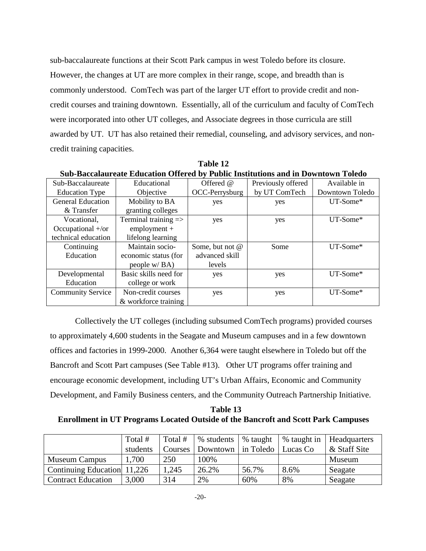sub-baccalaureate functions at their Scott Park campus in west Toledo before its closure. However, the changes at UT are more complex in their range, scope, and breadth than is commonly understood. ComTech was part of the larger UT effort to provide credit and noncredit courses and training downtown. Essentially, all of the curriculum and faculty of ComTech were incorporated into other UT colleges, and Associate degrees in those curricula are still awarded by UT. UT has also retained their remedial, counseling, and advisory services, and noncredit training capacities.

|                          | Sub-Baccalaureate Education Offered by Public Institutions and in Downtown Toledo |                 |                    |                 |  |  |  |  |  |
|--------------------------|-----------------------------------------------------------------------------------|-----------------|--------------------|-----------------|--|--|--|--|--|
| Sub-Baccalaureate        | Educational                                                                       | Offered @       | Previously offered | Available in    |  |  |  |  |  |
| <b>Education Type</b>    | Objective                                                                         | OCC-Perrysburg  | by UT ComTech      | Downtown Toledo |  |  |  |  |  |
| <b>General Education</b> | Mobility to BA                                                                    | yes             | yes                | $UT-Some*$      |  |  |  |  |  |
| & Transfer               | granting colleges                                                                 |                 |                    |                 |  |  |  |  |  |
| Vocational,              | Terminal training $\Rightarrow$                                                   | yes             | yes                | UT-Some*        |  |  |  |  |  |
| Occupational +/or        | $employment +$                                                                    |                 |                    |                 |  |  |  |  |  |
| technical education      | lifelong learning                                                                 |                 |                    |                 |  |  |  |  |  |
| Continuing               | Maintain socio-                                                                   | Some, but not @ | Some               | UT-Some*        |  |  |  |  |  |
| Education                | economic status (for                                                              | advanced skill  |                    |                 |  |  |  |  |  |
|                          | people w/BA)                                                                      | levels          |                    |                 |  |  |  |  |  |
| Developmental            | Basic skills need for                                                             | yes             | yes                | $UT-Some*$      |  |  |  |  |  |
| Education                | college or work                                                                   |                 |                    |                 |  |  |  |  |  |
| <b>Community Service</b> | Non-credit courses                                                                | yes             | yes                | UT-Some*        |  |  |  |  |  |
|                          | & workforce training                                                              |                 |                    |                 |  |  |  |  |  |

**Table 12 Sub-Baccalaureate Education Offered by Public Institutions and in Downtown Toledo**

Collectively the UT colleges (including subsumed ComTech programs) provided courses to approximately 4,600 students in the Seagate and Museum campuses and in a few downtown offices and factories in 1999-2000. Another 6,364 were taught elsewhere in Toledo but off the Bancroft and Scott Part campuses (See Table #13). Other UT programs offer training and encourage economic development, including UT's Urban Affairs, Economic and Community Development, and Family Business centers, and the Community Outreach Partnership Initiative.

**Table 13 Enrollment in UT Programs Located Outside of the Bancroft and Scott Park Campuses**

|                             | Total #<br>students | Total #<br><b>Courses</b> | % students<br>Downtown in Toledo | % taught | % taught in<br>Lucas Co | <b>Headquarters</b><br>& Staff Site |
|-----------------------------|---------------------|---------------------------|----------------------------------|----------|-------------------------|-------------------------------------|
| <b>Museum Campus</b>        | 1,700               | 250                       | 100%                             |          |                         | Museum                              |
| Continuing Education 11,226 |                     | 1,245                     | 26.2%                            | 56.7%    | 8.6%                    | Seagate                             |
| <b>Contract Education</b>   | 3,000               | 314                       | 2%                               | 60%      | 8%                      | Seagate                             |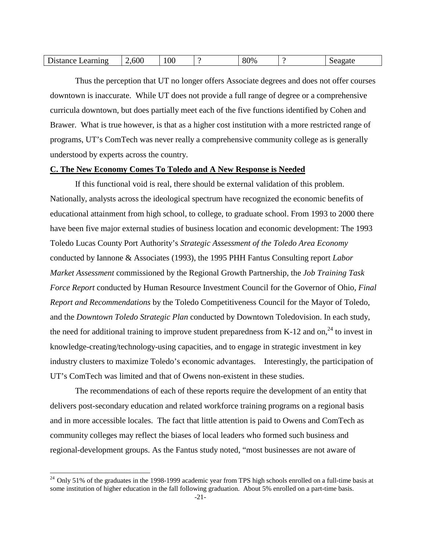| $\overline{\phantom{0}}$<br>600<br>$^{\prime}$ $^{19}$ <sub>0</sub><br>arnıng<br>еа<br>DΓ<br>' UU<br>- |
|--------------------------------------------------------------------------------------------------------|
|--------------------------------------------------------------------------------------------------------|

Thus the perception that UT no longer offers Associate degrees and does not offer courses downtown is inaccurate. While UT does not provide a full range of degree or a comprehensive curricula downtown, but does partially meet each of the five functions identified by Cohen and Brawer. What is true however, is that as a higher cost institution with a more restricted range of programs, UT's ComTech was never really a comprehensive community college as is generally understood by experts across the country.

#### **C. The New Economy Comes To Toledo and A New Response is Needed**

If this functional void is real, there should be external validation of this problem. Nationally, analysts across the ideological spectrum have recognized the economic benefits of educational attainment from high school, to college, to graduate school. From 1993 to 2000 there have been five major external studies of business location and economic development: The 1993 Toledo Lucas County Port Authority's *Strategic Assessment of the Toledo Area Economy* conducted by Iannone & Associates (1993), the 1995 PHH Fantus Consulting report *Labor Market Assessment* commissioned by the Regional Growth Partnership, the *Job Training Task Force Report* conducted by Human Resource Investment Council for the Governor of Ohio, *Final Report and Recommendations* by the Toledo Competitiveness Council for the Mayor of Toledo, and the *Downtown Toledo Strategic Plan* conducted by Downtown Toledovision. In each study, the need for additional training to improve student preparedness from K-12 and on,<sup>24</sup> to invest in knowledge-creating/technology-using capacities, and to engage in strategic investment in key industry clusters to maximize Toledo's economic advantages. Interestingly, the participation of UT's ComTech was limited and that of Owens non-existent in these studies.

The recommendations of each of these reports require the development of an entity that delivers post-secondary education and related workforce training programs on a regional basis and in more accessible locales. The fact that little attention is paid to Owens and ComTech as community colleges may reflect the biases of local leaders who formed such business and regional-development groups. As the Fantus study noted, "most businesses are not aware of

 $24$  Only 51% of the graduates in the 1998-1999 academic year from TPS high schools enrolled on a full-time basis at some institution of higher education in the fall following graduation. About 5% enrolled on a part-time basis.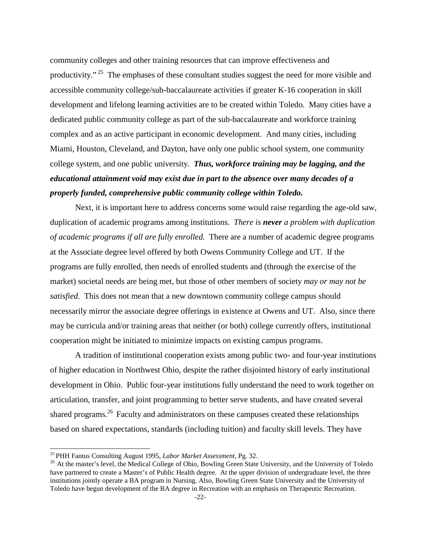community colleges and other training resources that can improve effectiveness and productivity."<sup>25</sup> The emphases of these consultant studies suggest the need for more visible and accessible community college/sub-baccalaureate activities if greater K-16 cooperation in skill development and lifelong learning activities are to be created within Toledo. Many cities have a dedicated public community college as part of the sub-baccalaureate and workforce training complex and as an active participant in economic development. And many cities, including Miami, Houston, Cleveland, and Dayton, have only one public school system, one community college system, and one public university. *Thus, workforce training may be lagging, and the educational attainment void may exist due in part to the absence over many decades of a properly funded, comprehensive public community college within Toledo.*

Next, it is important here to address concerns some would raise regarding the age-old saw, duplication of academic programs among institutions. *There is never a problem with duplication of academic programs if all are fully enrolled.* There are a number of academic degree programs at the Associate degree level offered by both Owens Community College and UT. If the programs are fully enrolled, then needs of enrolled students and (through the exercise of the market) societal needs are being met, but those of other members of society *may or may not be satisfied*. This does not mean that a new downtown community college campus should necessarily mirror the associate degree offerings in existence at Owens and UT. Also, since there may be curricula and/or training areas that neither (or both) college currently offers, institutional cooperation might be initiated to minimize impacts on existing campus programs.

A tradition of institutional cooperation exists among public two- and four-year institutions of higher education in Northwest Ohio, despite the rather disjointed history of early institutional development in Ohio. Public four-year institutions fully understand the need to work together on articulation, transfer, and joint programming to better serve students, and have created several shared programs.<sup>26</sup> Faculty and administrators on these campuses created these relationships based on shared expectations, standards (including tuition) and faculty skill levels. They have

<sup>&</sup>lt;sup>25</sup> PHH Fantus Consulting August 1995, *Labor Market Assessment*, Pg. 32.<br><sup>26</sup> At the master's level, the Medical College of Ohio, Bowling Green State University, and the University of Toledo have partnered to create a Master's of Public Health degree. At the upper division of undergraduate level, the three institutions jointly operate a BA program in Nursing. Also, Bowling Green State University and the University of Toledo have begun development of the BA degree in Recreation with an emphasis on Therapeutic Recreation.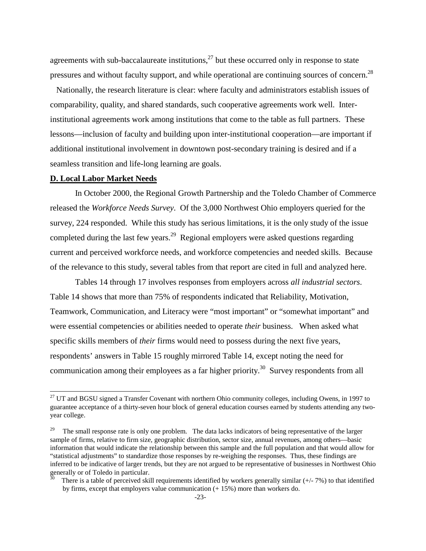agreements with sub-baccalaureate institutions, $^{27}$  but these occurred only in response to state pressures and without faculty support, and while operational are continuing sources of concern.<sup>28</sup>

Nationally, the research literature is clear: where faculty and administrators establish issues of comparability, quality, and shared standards, such cooperative agreements work well. Interinstitutional agreements work among institutions that come to the table as full partners. These lessons—inclusion of faculty and building upon inter-institutional cooperation—are important if additional institutional involvement in downtown post-secondary training is desired and if a seamless transition and life-long learning are goals.

#### **D. Local Labor Market Needs**

In October 2000, the Regional Growth Partnership and the Toledo Chamber of Commerce released the *Workforce Needs Survey*. Of the 3,000 Northwest Ohio employers queried for the survey, 224 responded. While this study has serious limitations, it is the only study of the issue completed during the last few years.<sup>29</sup> Regional employers were asked questions regarding current and perceived workforce needs, and workforce competencies and needed skills. Because of the relevance to this study, several tables from that report are cited in full and analyzed here.

Tables 14 through 17 involves responses from employers across *all industrial sectors*. Table 14 shows that more than 75% of respondents indicated that Reliability, Motivation, Teamwork, Communication, and Literacy were "most important" or "somewhat important" and were essential competencies or abilities needed to operate *their* business. When asked what specific skills members of *their* firms would need to possess during the next five years, respondents' answers in Table 15 roughly mirrored Table 14, except noting the need for communication among their employees as a far higher priority.<sup>30</sup> Survey respondents from all

 $27$  UT and BGSU signed a Transfer Covenant with northern Ohio community colleges, including Owens, in 1997 to guarantee acceptance of a thirty-seven hour block of general education courses earned by students attending any twoyear college.

<sup>29</sup> The small response rate is only one problem. The data lacks indicators of being representative of the larger sample of firms, relative to firm size, geographic distribution, sector size, annual revenues, among others—basic information that would indicate the relationship between this sample and the full population and that would allow for "statistical adjustments" to standardize those responses by re-weighing the responses. Thus, these findings are inferred to be indicative of larger trends, but they are not argued to be representative of businesses in Northwest Ohio generally or of Toledo in particular.

There is a table of perceived skill requirements identified by workers generally similar  $(+/-7%)$  to that identified by firms, except that employers value communication (+ 15%) more than workers do.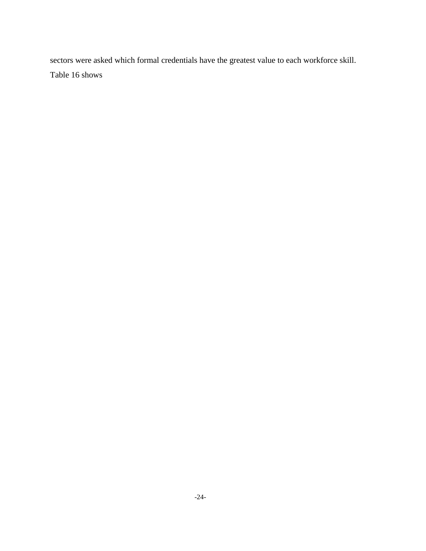sectors were asked which formal credentials have the greatest value to each workforce skill. Table 16 shows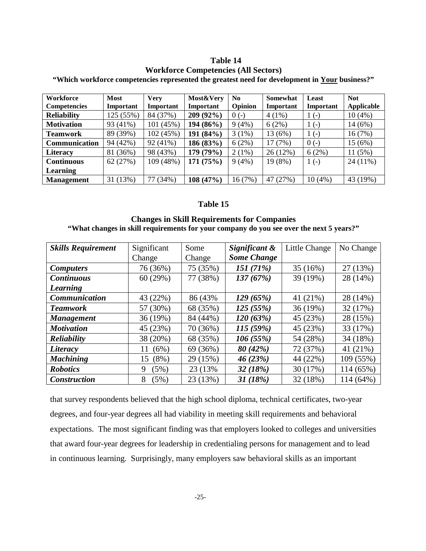#### **Table 14**

#### **Workforce Competencies (All Sectors)**

**"Which workforce competencies represented the greatest need for development in Your business?"**

| <b>Workforce</b>    | <b>Most</b> | <b>Very</b> | Most&Very   | N <sub>0</sub> | Somewhat  | Least     | <b>Not</b> |
|---------------------|-------------|-------------|-------------|----------------|-----------|-----------|------------|
| <b>Competencies</b> | Important   | Important   | Important   | Opinion        | Important | Important | Applicable |
| <b>Reliability</b>  | 125 (55%)   | 84 (37%)    | 209(92%)    | $0( - )$       | $4(1\%)$  | $1(-)$    | 10(4%)     |
| <b>Motivation</b>   | 93 (41%)    | 101 (45%)   | $194(86\%)$ | $9(4\%)$       | 6(2%)     | $1(-)$    | 14 (6%)    |
| <b>Teamwork</b>     | 89 (39%)    | 102 (45%)   | 191 (84%)   | $3(1\%)$       | 13 (6%)   | $1(-)$    | 16(7%)     |
| Communication       | 94 (42%)    | 92 (41%)    | 186 (83%)   | $6(2\%)$       | 17(7%)    | $0( - )$  | 15 (6%)    |
| <b>Literacy</b>     | (36%)<br>81 | 98 (43%)    | 179 (79%)   | $2(1\%)$       | 26(12%)   | 6(2%)     | 11(5%)     |
| <b>Continuous</b>   | 62 (27%)    | 109 (48%)   | 171(75%)    | 9(4%)          | 19 (8%)   | $1(-)$    | $24(11\%)$ |
| Learning            |             |             |             |                |           |           |            |
| <b>Management</b>   | 31(13%)     | (34%)       | 108(47%)    | 16 (7%)        | 47 (27%)  | 10(4%)    | 43 (19%)   |

### **Table 15**

### **Changes in Skill Requirements for Companies "What changes in skill requirements for your company do you see over the next 5 years?"**

| <b>Skills Requirement</b> | Significant | Some     | Significant &      | Little Change | No Change |
|---------------------------|-------------|----------|--------------------|---------------|-----------|
|                           | Change      | Change   | <b>Some Change</b> |               |           |
| <b>Computers</b>          | 76 (36%)    | 75 (35%) | 151(71%)           | 35 (16%)      | 27(13%)   |
| <b>Continuous</b>         | 60(29%)     | 77 (38%) | 137(67%)           | 39 (19%)      | 28 (14%)  |
| <b>Learning</b>           |             |          |                    |               |           |
| <b>Communication</b>      | 43 (22%)    | 86 (43%) | 129(65%)           | 41 (21%)      | 28 (14%)  |
| <b>Teamwork</b>           | 57 (30%)    | 68 (35%) | 125(55%)           | 36 (19%)      | 32 (17%)  |
| <b>Management</b>         | 36(19%)     | 84 (44%) | 120(63%)           | 45 (23%)      | 28 (15%)  |
| <b>Motivation</b>         | 45 (23%)    | 70 (36%) | 115(59%)           | 45 (23%)      | 33 (17%)  |
| <b>Reliability</b>        | 38 (20%)    | 68 (35%) | 106(55%)           | 54 (28%)      | 34 (18%)  |
| Literacy                  | (6%)<br>11  | 69 (36%) | 80 (42%)           | 72 (37%)      | 41 (21%)  |
| <b>Machining</b>          | 15 (8%)     | 29 (15%) | 46(23%)            | 44 (22%)      | 109 (55%) |
| <b>Robotics</b>           | (5%)<br>9   | 23 (13%) | 32 (18%)           | 30 (17%)      | 114 (65%) |
| <b>Construction</b>       | (5%)<br>8   | 23 (13%) | 31(18%)            | 32 (18%)      | 114 (64%) |

that survey respondents believed that the high school diploma, technical certificates, two-year degrees, and four-year degrees all had viability in meeting skill requirements and behavioral expectations. The most significant finding was that employers looked to colleges and universities that award four-year degrees for leadership in credentialing persons for management and to lead in continuous learning. Surprisingly, many employers saw behavioral skills as an important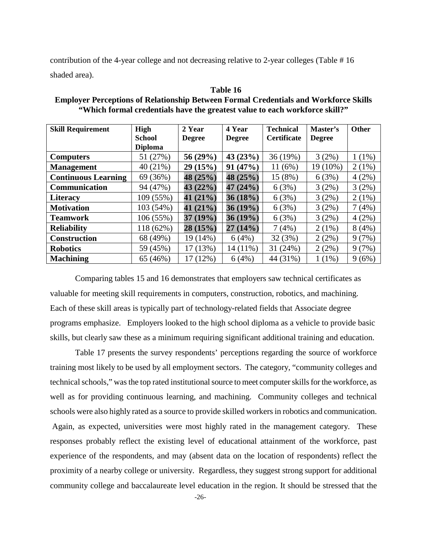contribution of the 4-year college and not decreasing relative to 2-year colleges (Table # 16 shaded area).

| <b>Skill Requirement</b>   | <b>High</b>    | 2 Year        | 4 Year        | <b>Technical</b>   | Master's      | <b>Other</b> |
|----------------------------|----------------|---------------|---------------|--------------------|---------------|--------------|
|                            | <b>School</b>  | <b>Degree</b> | <b>Degree</b> | <b>Certificate</b> | <b>Degree</b> |              |
|                            | <b>Diploma</b> |               |               |                    |               |              |
| <b>Computers</b>           | 51 (27%)       | 56 (29%)      | 43(23%)       | 36 (19%)           | 3(2%)         | $1(1\%)$     |
| <b>Management</b>          | 40 (21%)       | 29(15%)       | 91(47%)       | 11(6%)             | 19 (10%)      | $2(1\%)$     |
| <b>Continuous Learning</b> | 69 (36%)       | 48 (25%)      | 48 (25%)      | 15 (8%)            | 6(3%)         | 4(2%)        |
| Communication              | 94 (47%)       | 43 (22%)      | 47 (24%)      | 6(3%)              | 3(2%)         | 3(2%)        |
| <b>Literacy</b>            | 109 (55%)      | 41 $(21\%)$   | 36(18%)       | 6(3%)              | 3(2%)         | $2(1\%)$     |
| <b>Motivation</b>          | 103 (54%)      | 41 $(21\%)$   | $36(19\%)$    | 6(3%)              | 3(2%)         | 7(4%)        |
| <b>Teamwork</b>            | 106 (55%)      | 37(19%)       | $36(19\%)$    | 6(3%)              | 3(2%)         | 4(2%)        |
| <b>Reliability</b>         | 118 (62%)      | 28(15%)       | 27(14%)       | 7(4%)              | $2(1\%)$      | 8(4%)        |
| <b>Construction</b>        | 68 (49%)       | 19 (14%)      | 6(4%)         | 32(3%)             | 2(2%)         | 9(7%)        |
| <b>Robotics</b>            | 59 (45%)       | 17 (13%)      | 14 (11%)      | 31 (24%)           | 2(2%)         | 9(7%)        |
| <b>Machining</b>           | 65 (46%)       | 17 (12%)      | 6(4%)         | 44 (31%)           | $1(1\%)$      | 9(6%)        |

**Table 16 Employer Perceptions of Relationship Between Formal Credentials and Workforce Skills "Which formal credentials have the greatest value to each workforce skill?"**

Comparing tables 15 and 16 demonstrates that employers saw technical certificates as valuable for meeting skill requirements in computers, construction, robotics, and machining. Each of these skill areas is typically part of technology-related fields that Associate degree programs emphasize. Employers looked to the high school diploma as a vehicle to provide basic skills, but clearly saw these as a minimum requiring significant additional training and education.

Table 17 presents the survey respondents' perceptions regarding the source of workforce training most likely to be used by all employment sectors. The category, "community colleges and technical schools," was the top rated institutional source to meet computer skills for the workforce, as well as for providing continuous learning, and machining. Community colleges and technical schools were also highly rated as a source to provide skilled workers in robotics and communication. Again, as expected, universities were most highly rated in the management category. These responses probably reflect the existing level of educational attainment of the workforce, past experience of the respondents, and may (absent data on the location of respondents) reflect the proximity of a nearby college or university. Regardless, they suggest strong support for additional community college and baccalaureate level education in the region. It should be stressed that the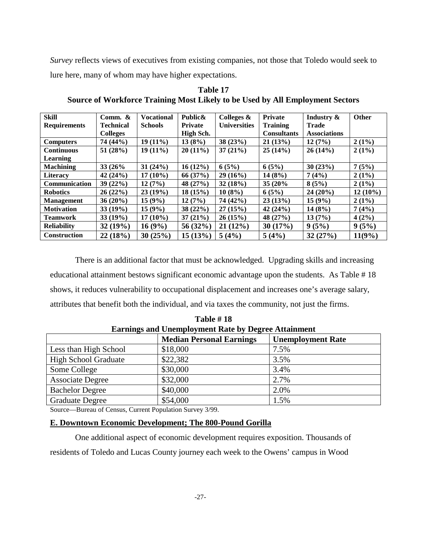*Survey* reflects views of executives from existing companies, not those that Toledo would seek to lure here, many of whom may have higher expectations.

| <b>Skill</b>        | Comm. $\&$       | <b>Vocational</b> | Public&        | Colleges $\&$       | <b>Private</b>     | Industry &          | <b>Other</b> |
|---------------------|------------------|-------------------|----------------|---------------------|--------------------|---------------------|--------------|
| <b>Requirements</b> | <b>Technical</b> | <b>Schools</b>    | <b>Private</b> | <b>Universities</b> | <b>Training</b>    | <b>Trade</b>        |              |
|                     | <b>Colleges</b>  |                   | High Sch.      |                     | <b>Consultants</b> | <b>Associations</b> |              |
| <b>Computers</b>    | 74 (44%)         | $19(11\%)$        | 13(8%)         | 38(23%)             | 21(13%)            | 12(7%)              | $2(1\%)$     |
| <b>Continuous</b>   | 51(28%)          | $19(11\%)$        | $20(11\%)$     | 37(21%)             | 25(14%)            | 26(14%)             | $2(1\%)$     |
| Learning            |                  |                   |                |                     |                    |                     |              |
| <b>Machining</b>    | 33 (26%)         | 31(24%)           | $16(12\%)$     | 6(5%)               | 6(5%)              | 30(23%)             | 7(5%)        |
| <b>Literacy</b>     | 42 $(24%)$       | $17(10\%)$        | 66(37%)        | 29(16%)             | 14(8%)             | 7(4%)               | $2(1\%)$     |
| Communication       | 39(22%)          | 12(7%)            | 48 $(27%)$     | 32(18%)             | 35 (20%)           | 8(5%)               | $2(1\%)$     |
| <b>Robotics</b>     | 26(22%)          | 23(19%)           | 18(15%)        | 10(8%)              | 6(5%)              | $24(20\%)$          | $12(10\%)$   |
| <b>Management</b>   | $36(20\%)$       | 15(9%)            | 12(7%)         | 74 (42%)            | 23(13%)            | 15(9%)              | $2(1\%)$     |
| <b>Motivation</b>   | 33(19%)          | $15(9\%)$         | 38(22%)        | 27(15%)             | 42 $(24%)$         | 14(8%)              | 7(4%)        |
| <b>Teamwork</b>     | 33(19%)          | $17(10\%)$        | 37(21%)        | 26(15%)             | 48 (27%)           | 13(7%)              | $4(2\%)$     |
| <b>Reliability</b>  | 32(19%)          | 16(9%)            | 56 (32%)       | 21(12%)             | 30(17%)            | 9(5%)               | 9(5%)        |
| <b>Construction</b> | 22(18%)          | 30(25%)           | 15(13%)        | 5(4%)               | 5(4%)              | 32(27%)             | 11(9%)       |

**Table 17 Source of Workforce Training Most Likely to be Used by All Employment Sectors**

There is an additional factor that must be acknowledged. Upgrading skills and increasing educational attainment bestows significant economic advantage upon the students. As Table # 18 shows, it reduces vulnerability to occupational displacement and increases one's average salary, attributes that benefit both the individual, and via taxes the community, not just the firms.

| 1 AU 11 11                                                 |                                 |                          |  |  |  |  |  |
|------------------------------------------------------------|---------------------------------|--------------------------|--|--|--|--|--|
| <b>Earnings and Unemployment Rate by Degree Attainment</b> |                                 |                          |  |  |  |  |  |
|                                                            | <b>Median Personal Earnings</b> | <b>Unemployment Rate</b> |  |  |  |  |  |
| Less than High School                                      | \$18,000                        | 7.5%                     |  |  |  |  |  |
| <b>High School Graduate</b>                                | \$22,382                        | 3.5%                     |  |  |  |  |  |
| Some College                                               | \$30,000                        | 3.4%                     |  |  |  |  |  |
| <b>Associate Degree</b>                                    | \$32,000                        | 2.7%                     |  |  |  |  |  |
| <b>Bachelor Degree</b>                                     | \$40,000                        | 2.0%                     |  |  |  |  |  |
| <b>Graduate Degree</b>                                     | \$54,000                        | 1.5%                     |  |  |  |  |  |

**Table # 18**

Source—Bureau of Census, Current Population Survey 3/99.

### **E. Downtown Economic Development; The 800-Pound Gorilla**

One additional aspect of economic development requires exposition. Thousands of residents of Toledo and Lucas County journey each week to the Owens' campus in Wood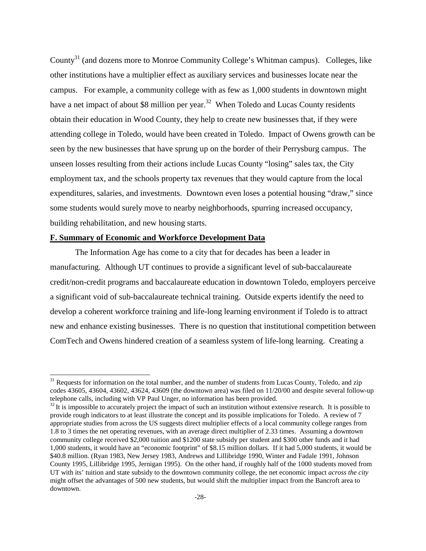County<sup>31</sup> (and dozens more to Monroe Community College's Whitman campus). Colleges, like other institutions have a multiplier effect as auxiliary services and businesses locate near the campus. For example, a community college with as few as 1,000 students in downtown might have a net impact of about \$8 million per year.<sup>32</sup> When Toledo and Lucas County residents obtain their education in Wood County, they help to create new businesses that, if they were attending college in Toledo, would have been created in Toledo. Impact of Owens growth can be seen by the new businesses that have sprung up on the border of their Perrysburg campus. The unseen losses resulting from their actions include Lucas County "losing" sales tax, the City employment tax, and the schools property tax revenues that they would capture from the local expenditures, salaries, and investments. Downtown even loses a potential housing "draw," since some students would surely move to nearby neighborhoods, spurring increased occupancy, building rehabilitation, and new housing starts.

#### **F. Summary of Economic and Workforce Development Data**

The Information Age has come to a city that for decades has been a leader in manufacturing. Although UT continues to provide a significant level of sub-baccalaureate credit/non-credit programs and baccalaureate education in downtown Toledo, employers perceive a significant void of sub-baccalaureate technical training. Outside experts identify the need to develop a coherent workforce training and life-long learning environment if Toledo is to attract new and enhance existing businesses. There is no question that institutional competition between ComTech and Owens hindered creation of a seamless system of life-long learning. Creating a

<sup>&</sup>lt;sup>31</sup> Requests for information on the total number, and the number of students from Lucas County, Toledo, and zip codes 43605, 43604, 43602, 43624, 43609 (the downtown area) was filed on 11/20/00 and despite several follow-up telephone calls, including with VP Paul Unger, no information has been provided.

 $32$  It is impossible to accurately project the impact of such an institution without extensive research. It is possible to provide rough indicators to at least illustrate the concept and its possible implications for Toledo. A review of 7 appropriate studies from across the US suggests direct multiplier effects of a local community college ranges from 1.8 to 3 times the net operating revenues, with an average direct multiplier of 2.33 times. Assuming a downtown community college received \$2,000 tuition and \$1200 state subsidy per student and \$300 other funds and it had 1,000 students, it would have an "economic footprint" of \$8.15 million dollars. If it had 5,000 students, it would be \$40.8 million. (Ryan 1983, New Jersey 1983, Andrews and Lillibridge 1990, Winter and Fadale 1991, Johnson County 1995, Lillibridge 1995, Jernigan 1995). On the other hand, if roughly half of the 1000 students moved from UT with its' tuition and state subsidy to the downtown community college, the net economic impact *across the city* might offset the advantages of 500 new students, but would shift the multiplier impact from the Bancroft area to downtown.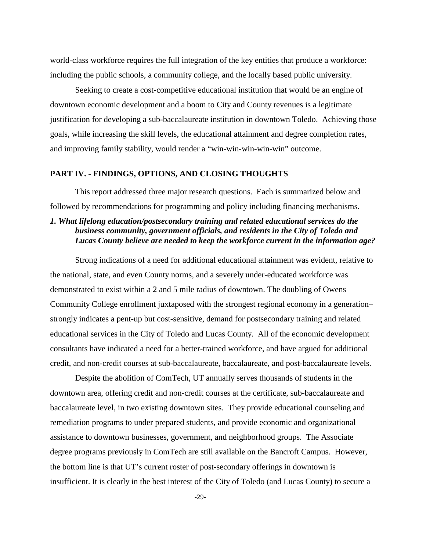world-class workforce requires the full integration of the key entities that produce a workforce: including the public schools, a community college, and the locally based public university.

Seeking to create a cost-competitive educational institution that would be an engine of downtown economic development and a boom to City and County revenues is a legitimate justification for developing a sub-baccalaureate institution in downtown Toledo. Achieving those goals, while increasing the skill levels, the educational attainment and degree completion rates, and improving family stability, would render a "win-win-win-win-win" outcome.

### **PART IV. - FINDINGS, OPTIONS, AND CLOSING THOUGHTS**

This report addressed three major research questions. Each is summarized below and followed by recommendations for programming and policy including financing mechanisms.

# *1. What lifelong education/postsecondary training and related educational services do the business community, government officials, and residents in the City of Toledo and Lucas County believe are needed to keep the workforce current in the information age?*

Strong indications of a need for additional educational attainment was evident, relative to the national, state, and even County norms, and a severely under-educated workforce was demonstrated to exist within a 2 and 5 mile radius of downtown. The doubling of Owens Community College enrollment juxtaposed with the strongest regional economy in a generation– strongly indicates a pent-up but cost-sensitive, demand for postsecondary training and related educational services in the City of Toledo and Lucas County. All of the economic development consultants have indicated a need for a better-trained workforce, and have argued for additional credit, and non-credit courses at sub-baccalaureate, baccalaureate, and post-baccalaureate levels.

Despite the abolition of ComTech, UT annually serves thousands of students in the downtown area, offering credit and non-credit courses at the certificate, sub-baccalaureate and baccalaureate level, in two existing downtown sites. They provide educational counseling and remediation programs to under prepared students, and provide economic and organizational assistance to downtown businesses, government, and neighborhood groups. The Associate degree programs previously in ComTech are still available on the Bancroft Campus. However, the bottom line is that UT's current roster of post-secondary offerings in downtown is insufficient. It is clearly in the best interest of the City of Toledo (and Lucas County) to secure a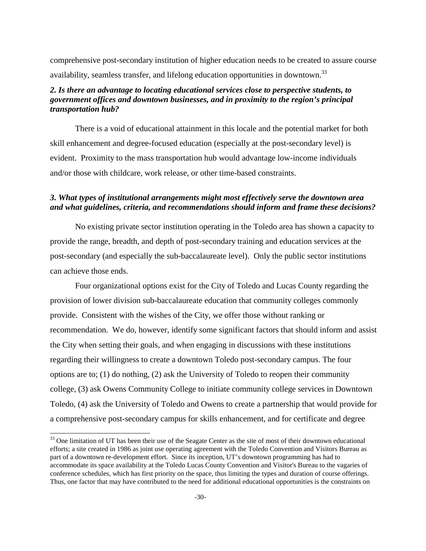comprehensive post-secondary institution of higher education needs to be created to assure course availability, seamless transfer, and lifelong education opportunities in downtown.<sup>33</sup>

# *2. Is there an advantage to locating educational services close to perspective students, to government offices and downtown businesses, and in proximity to the region's principal transportation hub?*

There is a void of educational attainment in this locale and the potential market for both skill enhancement and degree-focused education (especially at the post-secondary level) is evident. Proximity to the mass transportation hub would advantage low-income individuals and/or those with childcare, work release, or other time-based constraints.

## *3. What types of institutional arrangements might most effectively serve the downtown area and what guidelines, criteria, and recommendations should inform and frame these decisions?*

No existing private sector institution operating in the Toledo area has shown a capacity to provide the range, breadth, and depth of post-secondary training and education services at the post-secondary (and especially the sub-baccalaureate level). Only the public sector institutions can achieve those ends.

Four organizational options exist for the City of Toledo and Lucas County regarding the provision of lower division sub-baccalaureate education that community colleges commonly provide. Consistent with the wishes of the City, we offer those without ranking or recommendation. We do, however, identify some significant factors that should inform and assist the City when setting their goals, and when engaging in discussions with these institutions regarding their willingness to create a downtown Toledo post-secondary campus. The four options are to; (1) do nothing, (2) ask the University of Toledo to reopen their community college, (3) ask Owens Community College to initiate community college services in Downtown Toledo, (4) ask the University of Toledo and Owens to create a partnership that would provide for a comprehensive post-secondary campus for skills enhancement, and for certificate and degree

<sup>&</sup>lt;sup>33</sup> One limitation of UT has been their use of the Seagate Center as the site of most of their downtown educational efforts; a site created in 1986 as joint use operating agreement with the Toledo Convention and Visitors Bureau as part of a downtown re-development effort. Since its inception, UT's downtown programming has had to accommodate its space availability at the Toledo Lucas County Convention and Visitor's Bureau to the vagaries of conference schedules, which has first priority on the space, thus limiting the types and duration of course offerings. Thus, one factor that may have contributed to the need for additional educational opportunities is the constraints on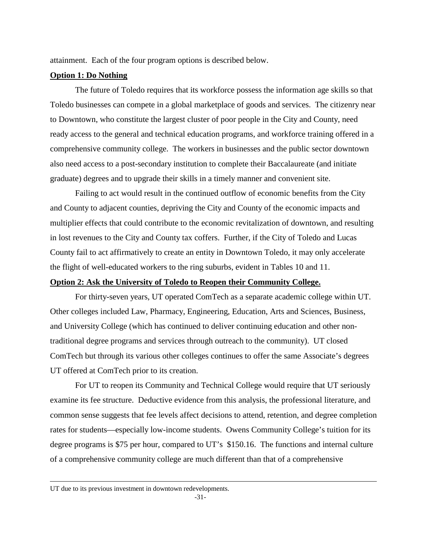attainment. Each of the four program options is described below.

#### **Option 1: Do Nothing**

The future of Toledo requires that its workforce possess the information age skills so that Toledo businesses can compete in a global marketplace of goods and services. The citizenry near to Downtown, who constitute the largest cluster of poor people in the City and County, need ready access to the general and technical education programs, and workforce training offered in a comprehensive community college. The workers in businesses and the public sector downtown also need access to a post-secondary institution to complete their Baccalaureate (and initiate graduate) degrees and to upgrade their skills in a timely manner and convenient site.

Failing to act would result in the continued outflow of economic benefits from the City and County to adjacent counties, depriving the City and County of the economic impacts and multiplier effects that could contribute to the economic revitalization of downtown, and resulting in lost revenues to the City and County tax coffers. Further, if the City of Toledo and Lucas County fail to act affirmatively to create an entity in Downtown Toledo, it may only accelerate the flight of well-educated workers to the ring suburbs, evident in Tables 10 and 11.

#### **Option 2: Ask the University of Toledo to Reopen their Community College.**

For thirty-seven years, UT operated ComTech as a separate academic college within UT. Other colleges included Law, Pharmacy, Engineering, Education, Arts and Sciences, Business, and University College (which has continued to deliver continuing education and other nontraditional degree programs and services through outreach to the community). UT closed ComTech but through its various other colleges continues to offer the same Associate's degrees UT offered at ComTech prior to its creation.

For UT to reopen its Community and Technical College would require that UT seriously examine its fee structure. Deductive evidence from this analysis, the professional literature, and common sense suggests that fee levels affect decisions to attend, retention, and degree completion rates for students—especially low-income students. Owens Community College's tuition for its degree programs is \$75 per hour, compared to UT's \$150.16. The functions and internal culture of a comprehensive community college are much different than that of a comprehensive

UT due to its previous investment in downtown redevelopments.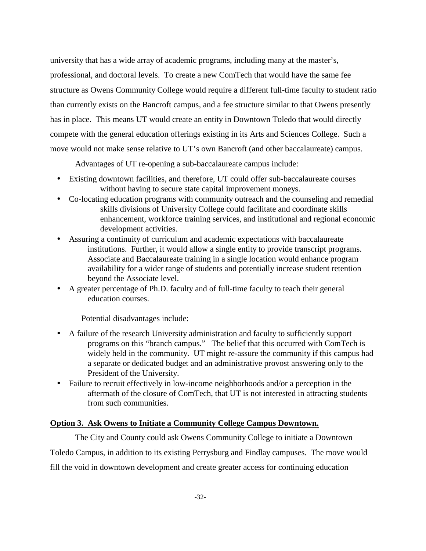university that has a wide array of academic programs, including many at the master's, professional, and doctoral levels. To create a new ComTech that would have the same fee structure as Owens Community College would require a different full-time faculty to student ratio than currently exists on the Bancroft campus, and a fee structure similar to that Owens presently has in place. This means UT would create an entity in Downtown Toledo that would directly compete with the general education offerings existing in its Arts and Sciences College. Such a move would not make sense relative to UT's own Bancroft (and other baccalaureate) campus.

Advantages of UT re-opening a sub-baccalaureate campus include:

- Existing downtown facilities, and therefore, UT could offer sub-baccalaureate courses without having to secure state capital improvement moneys.
- Co-locating education programs with community outreach and the counseling and remedial skills divisions of University College could facilitate and coordinate skills enhancement, workforce training services, and institutional and regional economic development activities.
- Assuring a continuity of curriculum and academic expectations with baccalaureate institutions. Further, it would allow a single entity to provide transcript programs. Associate and Baccalaureate training in a single location would enhance program availability for a wider range of students and potentially increase student retention beyond the Associate level.
- A greater percentage of Ph.D. faculty and of full-time faculty to teach their general education courses.

Potential disadvantages include:

- A failure of the research University administration and faculty to sufficiently support programs on this "branch campus." The belief that this occurred with ComTech is widely held in the community. UT might re-assure the community if this campus had a separate or dedicated budget and an administrative provost answering only to the President of the University.
- Failure to recruit effectively in low-income neighborhoods and/or a perception in the aftermath of the closure of ComTech, that UT is not interested in attracting students from such communities.

### **Option 3. Ask Owens to Initiate a Community College Campus Downtown.**

The City and County could ask Owens Community College to initiate a Downtown Toledo Campus, in addition to its existing Perrysburg and Findlay campuses. The move would fill the void in downtown development and create greater access for continuing education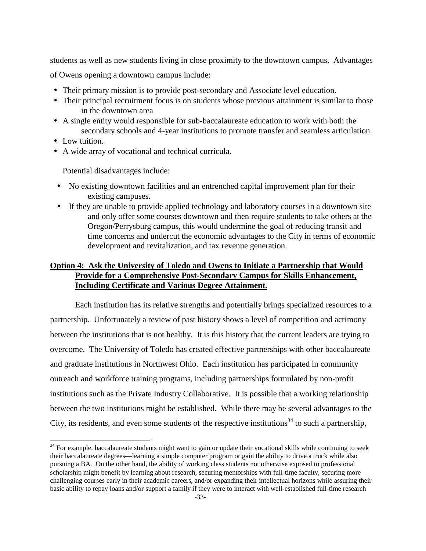students as well as new students living in close proximity to the downtown campus. Advantages of Owens opening a downtown campus include:

- Their primary mission is to provide post-secondary and Associate level education.
- Their principal recruitment focus is on students whose previous attainment is similar to those in the downtown area
- A single entity would responsible for sub-baccalaureate education to work with both the secondary schools and 4-year institutions to promote transfer and seamless articulation.
- Low tuition.
- A wide array of vocational and technical curricula.

Potential disadvantages include:

- No existing downtown facilities and an entrenched capital improvement plan for their existing campuses.
- If they are unable to provide applied technology and laboratory courses in a downtown site and only offer some courses downtown and then require students to take others at the Oregon/Perrysburg campus, this would undermine the goal of reducing transit and time concerns and undercut the economic advantages to the City in terms of economic development and revitalization, and tax revenue generation.

# **Option 4: Ask the University of Toledo and Owens to Initiate a Partnership that Would Provide for a Comprehensive Post-Secondary Campus for Skills Enhancement, Including Certificate and Various Degree Attainment.**

Each institution has its relative strengths and potentially brings specialized resources to a partnership. Unfortunately a review of past history shows a level of competition and acrimony between the institutions that is not healthy. It is this history that the current leaders are trying to overcome. The University of Toledo has created effective partnerships with other baccalaureate and graduate institutions in Northwest Ohio. Each institution has participated in community outreach and workforce training programs, including partnerships formulated by non-profit institutions such as the Private Industry Collaborative. It is possible that a working relationship between the two institutions might be established. While there may be several advantages to the City, its residents, and even some students of the respective institutions<sup>34</sup> to such a partnership,

<sup>&</sup>lt;sup>34</sup> For example, baccalaureate students might want to gain or update their vocational skills while continuing to seek their baccalaureate degrees—learning a simple computer program or gain the ability to drive a truck while also pursuing a BA. On the other hand, the ability of working class students not otherwise exposed to professional scholarship might benefit by learning about research, securing mentorships with full-time faculty, securing more challenging courses early in their academic careers, and/or expanding their intellectual horizons while assuring their basic ability to repay loans and/or support a family if they were to interact with well-established full-time research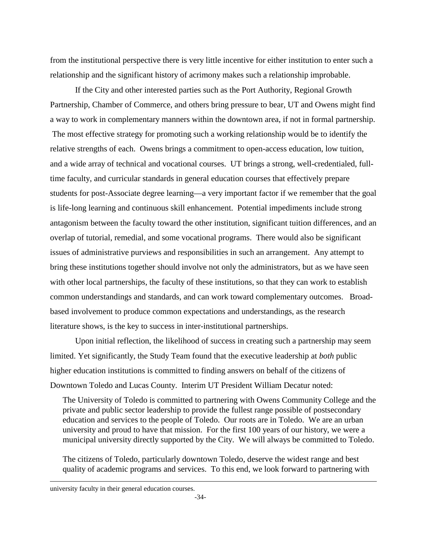from the institutional perspective there is very little incentive for either institution to enter such a relationship and the significant history of acrimony makes such a relationship improbable.

If the City and other interested parties such as the Port Authority, Regional Growth Partnership, Chamber of Commerce, and others bring pressure to bear, UT and Owens might find a way to work in complementary manners within the downtown area, if not in formal partnership. The most effective strategy for promoting such a working relationship would be to identify the relative strengths of each. Owens brings a commitment to open-access education, low tuition, and a wide array of technical and vocational courses. UT brings a strong, well-credentialed, fulltime faculty, and curricular standards in general education courses that effectively prepare students for post-Associate degree learning—a very important factor if we remember that the goal is life-long learning and continuous skill enhancement. Potential impediments include strong antagonism between the faculty toward the other institution, significant tuition differences, and an overlap of tutorial, remedial, and some vocational programs. There would also be significant issues of administrative purviews and responsibilities in such an arrangement. Any attempt to bring these institutions together should involve not only the administrators, but as we have seen with other local partnerships, the faculty of these institutions, so that they can work to establish common understandings and standards, and can work toward complementary outcomes. Broadbased involvement to produce common expectations and understandings, as the research literature shows, is the key to success in inter-institutional partnerships.

Upon initial reflection, the likelihood of success in creating such a partnership may seem limited. Yet significantly, the Study Team found that the executive leadership at *both* public higher education institutions is committed to finding answers on behalf of the citizens of Downtown Toledo and Lucas County. Interim UT President William Decatur noted:

The University of Toledo is committed to partnering with Owens Community College and the private and public sector leadership to provide the fullest range possible of postsecondary education and services to the people of Toledo. Our roots are in Toledo. We are an urban university and proud to have that mission. For the first 100 years of our history, we were a municipal university directly supported by the City. We will always be committed to Toledo.

The citizens of Toledo, particularly downtown Toledo, deserve the widest range and best quality of academic programs and services. To this end, we look forward to partnering with

university faculty in their general education courses.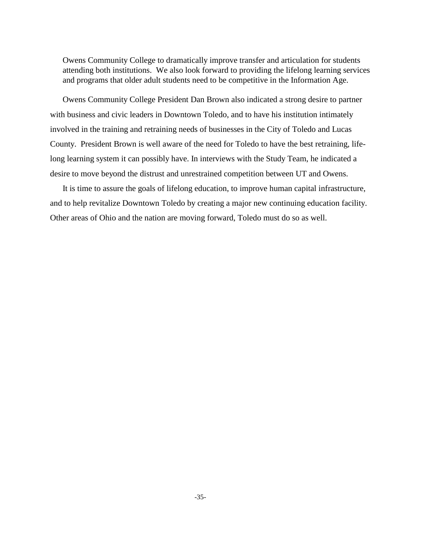Owens Community College to dramatically improve transfer and articulation for students attending both institutions. We also look forward to providing the lifelong learning services and programs that older adult students need to be competitive in the Information Age.

Owens Community College President Dan Brown also indicated a strong desire to partner with business and civic leaders in Downtown Toledo, and to have his institution intimately involved in the training and retraining needs of businesses in the City of Toledo and Lucas County. President Brown is well aware of the need for Toledo to have the best retraining, lifelong learning system it can possibly have. In interviews with the Study Team, he indicated a desire to move beyond the distrust and unrestrained competition between UT and Owens.

It is time to assure the goals of lifelong education, to improve human capital infrastructure, and to help revitalize Downtown Toledo by creating a major new continuing education facility. Other areas of Ohio and the nation are moving forward, Toledo must do so as well.